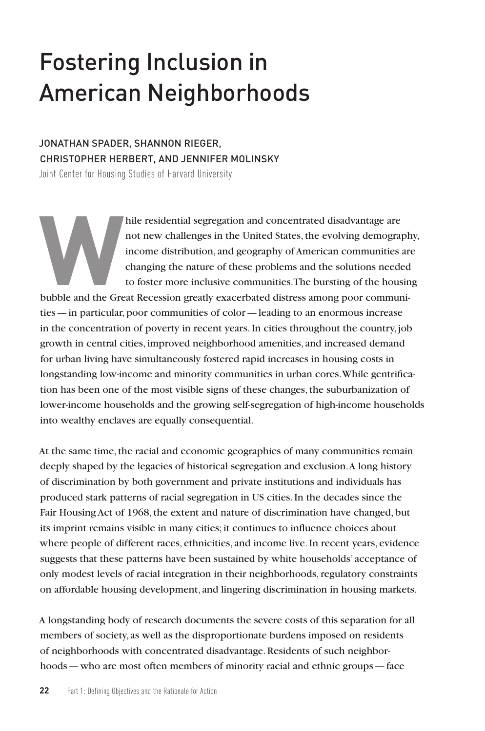# Fostering Inclusion in American Neighborhoods

# JONATHAN SPADER, SHANNON RIEGER, CHRISTOPHER HERBERT, AND JENNIFER MOLINSKY

Joint Center for Housing Studies of Harvard University

hile residential segregation and concentrated disadvantage are<br>
not new challenges in the United States, the evolving demograph<br>
income distribution, and geography of American communities are<br>
changing the nature of these not new challenges in the United States, the evolving demography, income distribution, and geography of American communities are changing the nature of these problems and the solutions needed to foster more inclusive communities. The bursting of the housing ties—in particular, poor communities of color—leading to an enormous increase in the concentration of poverty in recent years. In cities throughout the country, job growth in central cities, improved neighborhood amenities, and increased demand for urban living have simultaneously fostered rapid increases in housing costs in longstanding low-income and minority communities in urban cores. While gentrification has been one of the most visible signs of these changes, the suburbanization of lower-income households and the growing self-segregation of high-income households into wealthy enclaves are equally consequential.

At the same time, the racial and economic geographies of many communities remain deeply shaped by the legacies of historical segregation and exclusion. A long history of discrimination by both government and private institutions and individuals has produced stark patterns of racial segregation in US cities. In the decades since the Fair Housing Act of 1968, the extent and nature of discrimination have changed, but its imprint remains visible in many cities; it continues to influence choices about where people of different races, ethnicities, and income live. In recent years, evidence suggests that these patterns have been sustained by white households' acceptance of only modest levels of racial integration in their neighborhoods, regulatory constraints on affordable housing development, and lingering discrimination in housing markets.

A longstanding body of research documents the severe costs of this separation for all members of society, as well as the disproportionate burdens imposed on residents of neighborhoods with concentrated disadvantage. Residents of such neighborhoods—who are most often members of minority racial and ethnic groups—face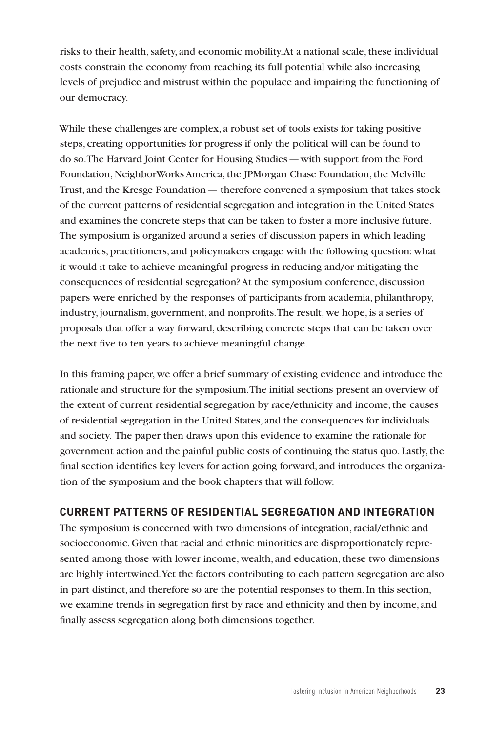risks to their health, safety, and economic mobility. At a national scale, these individual costs constrain the economy from reaching its full potential while also increasing levels of prejudice and mistrust within the populace and impairing the functioning of our democracy.

While these challenges are complex, a robust set of tools exists for taking positive steps, creating opportunities for progress if only the political will can be found to do so. The Harvard Joint Center for Housing Studies—with support from the Ford Foundation, NeighborWorks America, the JPMorgan Chase Foundation, the Melville Trust, and the Kresge Foundation— therefore convened a symposium that takes stock of the current patterns of residential segregation and integration in the United States and examines the concrete steps that can be taken to foster a more inclusive future. The symposium is organized around a series of discussion papers in which leading academics, practitioners, and policymakers engage with the following question: what it would it take to achieve meaningful progress in reducing and/or mitigating the consequences of residential segregation? At the symposium conference, discussion papers were enriched by the responses of participants from academia, philanthropy, industry, journalism, government, and nonprofits. The result, we hope, is a series of proposals that offer a way forward, describing concrete steps that can be taken over the next five to ten years to achieve meaningful change.

In this framing paper, we offer a brief summary of existing evidence and introduce the rationale and structure for the symposium. The initial sections present an overview of the extent of current residential segregation by race/ethnicity and income, the causes of residential segregation in the United States, and the consequences for individuals and society. The paper then draws upon this evidence to examine the rationale for government action and the painful public costs of continuing the status quo. Lastly, the final section identifies key levers for action going forward, and introduces the organization of the symposium and the book chapters that will follow.

# **CURRENT PATTERNS OF RESIDENTIAL SEGREGATION AND INTEGRATION**

The symposium is concerned with two dimensions of integration, racial/ethnic and socioeconomic. Given that racial and ethnic minorities are disproportionately represented among those with lower income, wealth, and education, these two dimensions are highly intertwined. Yet the factors contributing to each pattern segregation are also in part distinct, and therefore so are the potential responses to them. In this section, we examine trends in segregation first by race and ethnicity and then by income, and finally assess segregation along both dimensions together.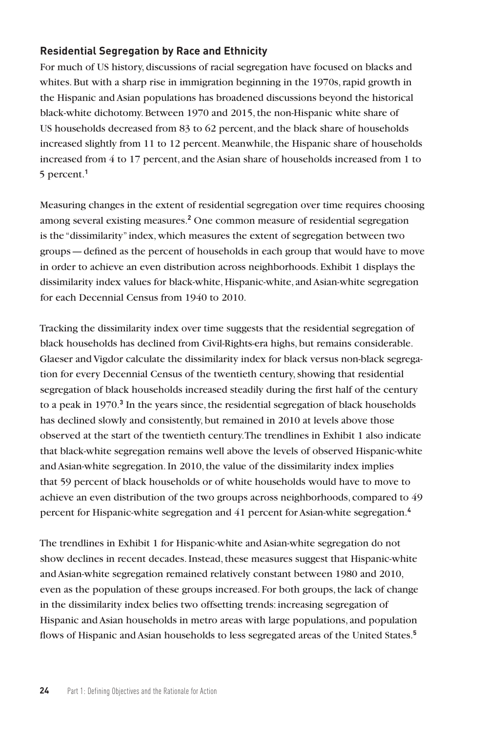## **Residential Segregation by Race and Ethnicity**

For much of US history, discussions of racial segregation have focused on blacks and whites. But with a sharp rise in immigration beginning in the 1970s, rapid growth in the Hispanic and Asian populations has broadened discussions beyond the historical black-white dichotomy. Between 1970 and 2015, the non-Hispanic white share of US households decreased from 83 to 62 percent, and the black share of households increased slightly from 11 to 12 percent. Meanwhile, the Hispanic share of households increased from 4 to 17 percent, and the Asian share of households increased from 1 to 5 percent.**<sup>1</sup>**

Measuring changes in the extent of residential segregation over time requires choosing among several existing measures.**<sup>2</sup>** One common measure of residential segregation is the "dissimilarity" index, which measures the extent of segregation between two groups—defined as the percent of households in each group that would have to move in order to achieve an even distribution across neighborhoods. Exhibit 1 displays the dissimilarity index values for black-white, Hispanic-white, and Asian-white segregation for each Decennial Census from 1940 to 2010.

Tracking the dissimilarity index over time suggests that the residential segregation of black households has declined from Civil-Rights-era highs, but remains considerable. Glaeser and Vigdor calculate the dissimilarity index for black versus non-black segregation for every Decennial Census of the twentieth century, showing that residential segregation of black households increased steadily during the first half of the century to a peak in 1970.<sup>3</sup> In the years since, the residential segregation of black households has declined slowly and consistently, but remained in 2010 at levels above those observed at the start of the twentieth century. The trendlines in Exhibit 1 also indicate that black-white segregation remains well above the levels of observed Hispanic-white and Asian-white segregation. In 2010, the value of the dissimilarity index implies that 59 percent of black households or of white households would have to move to achieve an even distribution of the two groups across neighborhoods, compared to 49 percent for Hispanic-white segregation and 41 percent for Asian-white segregation.**<sup>4</sup>**

The trendlines in Exhibit 1 for Hispanic-white and Asian-white segregation do not show declines in recent decades. Instead, these measures suggest that Hispanic-white and Asian-white segregation remained relatively constant between 1980 and 2010, even as the population of these groups increased. For both groups, the lack of change in the dissimilarity index belies two offsetting trends: increasing segregation of Hispanic and Asian households in metro areas with large populations, and population flows of Hispanic and Asian households to less segregated areas of the United States.**5**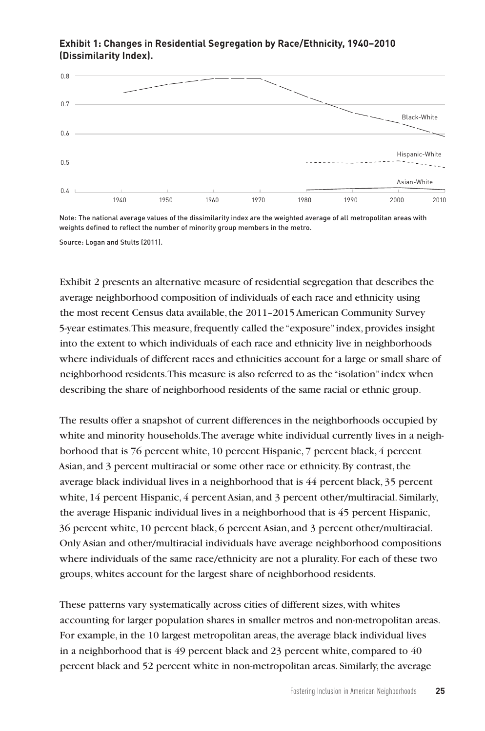

#### **Exhibit 1: Changes in Residential Segregation by Race/Ethnicity, 1940–2010 (Dissimilarity Index).**

Note: The national average values of the dissimilarity index are the weighted average of all metropolitan areas with weights defined to reflect the number of minority group members in the metro.

Source: Logan and Stults (2011).

Exhibit 2 presents an alternative measure of residential segregation that describes the average neighborhood composition of individuals of each race and ethnicity using the most recent Census data available, the 2011–2015 American Community Survey 5-year estimates. This measure, frequently called the "exposure" index, provides insight into the extent to which individuals of each race and ethnicity live in neighborhoods where individuals of different races and ethnicities account for a large or small share of neighborhood residents. This measure is also referred to as the "isolation" index when describing the share of neighborhood residents of the same racial or ethnic group.

The results offer a snapshot of current differences in the neighborhoods occupied by white and minority households. The average white individual currently lives in a neighborhood that is 76 percent white, 10 percent Hispanic, 7 percent black, 4 percent Asian, and 3 percent multiracial or some other race or ethnicity. By contrast, the average black individual lives in a neighborhood that is 44 percent black, 35 percent white, 14 percent Hispanic, 4 percent Asian, and 3 percent other/multiracial. Similarly, the average Hispanic individual lives in a neighborhood that is 45 percent Hispanic, 36 percent white, 10 percent black, 6 percent Asian, and 3 percent other/multiracial. Only Asian and other/multiracial individuals have average neighborhood compositions where individuals of the same race/ethnicity are not a plurality. For each of these two groups, whites account for the largest share of neighborhood residents.

These patterns vary systematically across cities of different sizes, with whites accounting for larger population shares in smaller metros and non-metropolitan areas. For example, in the 10 largest metropolitan areas, the average black individual lives in a neighborhood that is 49 percent black and 23 percent white, compared to 40 percent black and 52 percent white in non-metropolitan areas. Similarly, the average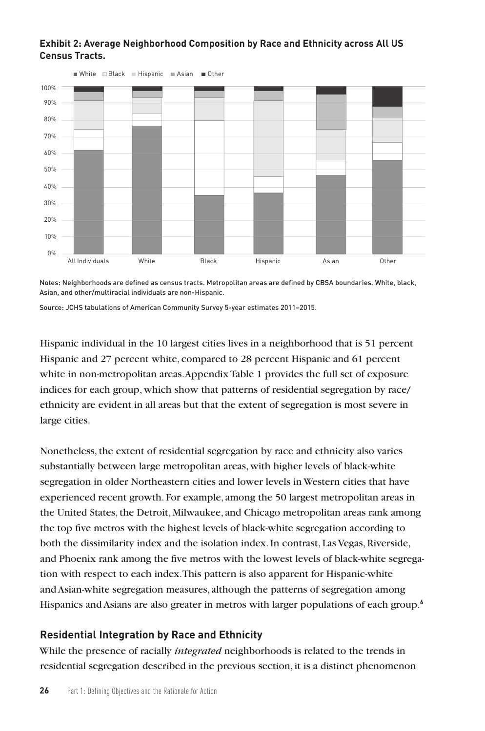#### **Exhibit 2: Average Neighborhood Composition by Race and Ethnicity across All US Census Tracts.**



Notes: Neighborhoods are defined as census tracts. Metropolitan areas are defined by CBSA boundaries. White, black, Asian, and other/multiracial individuals are non-Hispanic.

Source: JCHS tabulations of American Community Survey 5-year estimates 2011–2015.

Hispanic individual in the 10 largest cities lives in a neighborhood that is 51 percent Hispanic and 27 percent white, compared to 28 percent Hispanic and 61 percent white in non-metropolitan areas. Appendix Table 1 provides the full set of exposure indices for each group, which show that patterns of residential segregation by race/ ethnicity are evident in all areas but that the extent of segregation is most severe in large cities.

Nonetheless, the extent of residential segregation by race and ethnicity also varies substantially between large metropolitan areas, with higher levels of black-white segregation in older Northeastern cities and lower levels in Western cities that have experienced recent growth. For example, among the 50 largest metropolitan areas in the United States, the Detroit, Milwaukee, and Chicago metropolitan areas rank among the top five metros with the highest levels of black-white segregation according to both the dissimilarity index and the isolation index. In contrast, Las Vegas, Riverside, and Phoenix rank among the five metros with the lowest levels of black-white segregation with respect to each index. This pattern is also apparent for Hispanic-white and Asian-white segregation measures, although the patterns of segregation among Hispanics and Asians are also greater in metros with larger populations of each group.**<sup>6</sup>**

# **Residential Integration by Race and Ethnicity**

While the presence of racially *integrated* neighborhoods is related to the trends in residential segregation described in the previous section, it is a distinct phenomenon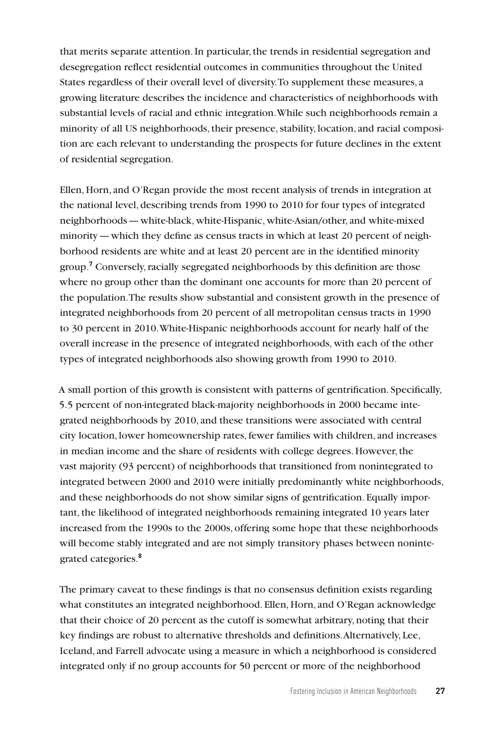that merits separate attention. In particular, the trends in residential segregation and desegregation reflect residential outcomes in communities throughout the United States regardless of their overall level of diversity. To supplement these measures, a growing literature describes the incidence and characteristics of neighborhoods with substantial levels of racial and ethnic integration. While such neighborhoods remain a minority of all US neighborhoods, their presence, stability, location, and racial composition are each relevant to understanding the prospects for future declines in the extent of residential segregation.

Ellen, Horn, and O'Regan provide the most recent analysis of trends in integration at the national level, describing trends from 1990 to 2010 for four types of integrated neighborhoods—white-black, white-Hispanic, white-Asian/other, and white-mixed minority—which they define as census tracts in which at least 20 percent of neighborhood residents are white and at least 20 percent are in the identified minority group.**<sup>7</sup>** Conversely, racially segregated neighborhoods by this definition are those where no group other than the dominant one accounts for more than 20 percent of the population. The results show substantial and consistent growth in the presence of integrated neighborhoods from 20 percent of all metropolitan census tracts in 1990 to 30 percent in 2010. White-Hispanic neighborhoods account for nearly half of the overall increase in the presence of integrated neighborhoods, with each of the other types of integrated neighborhoods also showing growth from 1990 to 2010.

A small portion of this growth is consistent with patterns of gentrification. Specifically, 5.5 percent of non-integrated black-majority neighborhoods in 2000 became integrated neighborhoods by 2010, and these transitions were associated with central city location, lower homeownership rates, fewer families with children, and increases in median income and the share of residents with college degrees. However, the vast majority (93 percent) of neighborhoods that transitioned from nonintegrated to integrated between 2000 and 2010 were initially predominantly white neighborhoods, and these neighborhoods do not show similar signs of gentrification. Equally important, the likelihood of integrated neighborhoods remaining integrated 10 years later increased from the 1990s to the 2000s, offering some hope that these neighborhoods will become stably integrated and are not simply transitory phases between nonintegrated categories.**<sup>8</sup>**

The primary caveat to these findings is that no consensus definition exists regarding what constitutes an integrated neighborhood. Ellen, Horn, and O'Regan acknowledge that their choice of 20 percent as the cutoff is somewhat arbitrary, noting that their key findings are robust to alternative thresholds and definitions. Alternatively, Lee, Iceland, and Farrell advocate using a measure in which a neighborhood is considered integrated only if no group accounts for 50 percent or more of the neighborhood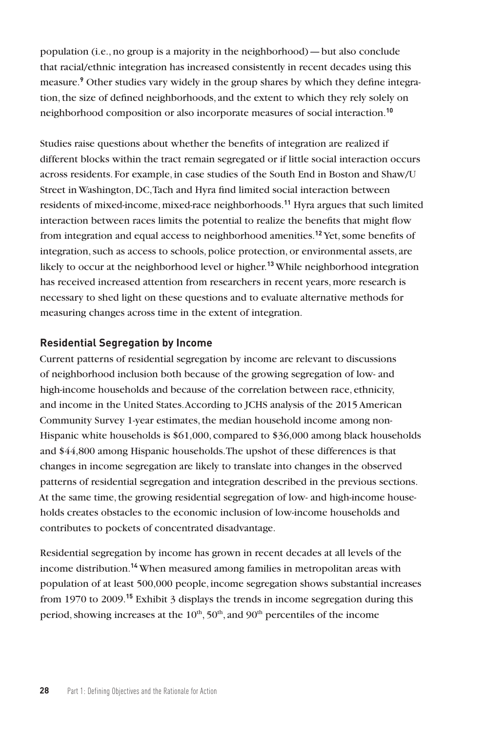population (i.e., no group is a majority in the neighborhood)—but also conclude that racial/ethnic integration has increased consistently in recent decades using this measure.**<sup>9</sup>** Other studies vary widely in the group shares by which they define integration, the size of defined neighborhoods, and the extent to which they rely solely on neighborhood composition or also incorporate measures of social interaction.**<sup>10</sup>**

Studies raise questions about whether the benefits of integration are realized if different blocks within the tract remain segregated or if little social interaction occurs across residents. For example, in case studies of the South End in Boston and Shaw/U Street in Washington, DC, Tach and Hyra find limited social interaction between residents of mixed-income, mixed-race neighborhoods.**<sup>11</sup>** Hyra argues that such limited interaction between races limits the potential to realize the benefits that might flow from integration and equal access to neighborhood amenities.**<sup>12</sup>** Yet, some benefits of integration, such as access to schools, police protection, or environmental assets, are likely to occur at the neighborhood level or higher.**<sup>13</sup>** While neighborhood integration has received increased attention from researchers in recent years, more research is necessary to shed light on these questions and to evaluate alternative methods for measuring changes across time in the extent of integration.

#### **Residential Segregation by Income**

Current patterns of residential segregation by income are relevant to discussions of neighborhood inclusion both because of the growing segregation of low- and high-income households and because of the correlation between race, ethnicity, and income in the United States. According to JCHS analysis of the 2015 American Community Survey 1-year estimates, the median household income among non-Hispanic white households is \$61,000, compared to \$36,000 among black households and \$44,800 among Hispanic households. The upshot of these differences is that changes in income segregation are likely to translate into changes in the observed patterns of residential segregation and integration described in the previous sections. At the same time, the growing residential segregation of low- and high-income households creates obstacles to the economic inclusion of low-income households and contributes to pockets of concentrated disadvantage.

Residential segregation by income has grown in recent decades at all levels of the income distribution.**<sup>14</sup>** When measured among families in metropolitan areas with population of at least 500,000 people, income segregation shows substantial increases from 1970 to 2009.**<sup>15</sup>** Exhibit 3 displays the trends in income segregation during this period, showing increases at the  $10<sup>th</sup>$ ,  $50<sup>th</sup>$ , and  $90<sup>th</sup>$  percentiles of the income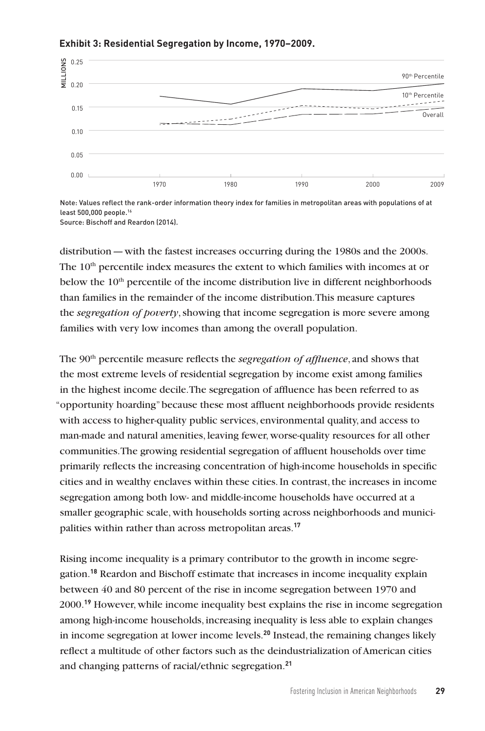

#### **Exhibit 3: Residential Segregation by Income, 1970–2009.**

Note: Values reflect the rank-order information theory index for families in metropolitan areas with populations of at least 500,000 people.16 Source: Bischoff and Reardon (2014).

distribution—with the fastest increases occurring during the 1980s and the 2000s. The  $10<sup>th</sup>$  percentile index measures the extent to which families with incomes at or below the  $10<sup>th</sup>$  percentile of the income distribution live in different neighborhoods than families in the remainder of the income distribution. This measure captures the *segregation of poverty*, showing that income segregation is more severe among families with very low incomes than among the overall population.

The 90th percentile measure reflects the *segregation of affluence*, and shows that the most extreme levels of residential segregation by income exist among families in the highest income decile. The segregation of affluence has been referred to as "opportunity hoarding" because these most affluent neighborhoods provide residents with access to higher-quality public services, environmental quality, and access to man-made and natural amenities, leaving fewer, worse-quality resources for all other communities. The growing residential segregation of affluent households over time primarily reflects the increasing concentration of high-income households in specific cities and in wealthy enclaves within these cities. In contrast, the increases in income segregation among both low- and middle-income households have occurred at a smaller geographic scale, with households sorting across neighborhoods and municipalities within rather than across metropolitan areas.**<sup>17</sup>**

Rising income inequality is a primary contributor to the growth in income segregation.**<sup>18</sup>** Reardon and Bischoff estimate that increases in income inequality explain between 40 and 80 percent of the rise in income segregation between 1970 and 2000.**<sup>19</sup>** However, while income inequality best explains the rise in income segregation among high-income households, increasing inequality is less able to explain changes in income segregation at lower income levels.**<sup>20</sup>** Instead, the remaining changes likely reflect a multitude of other factors such as the deindustrialization of American cities and changing patterns of racial/ethnic segregation.**<sup>21</sup>**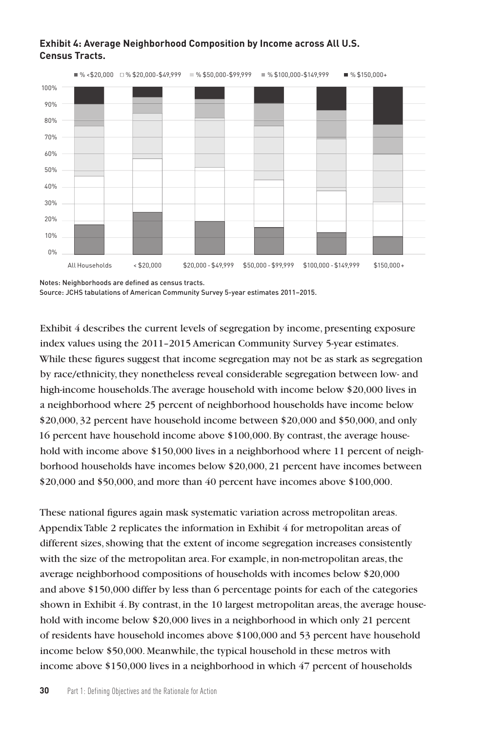

#### **Exhibit 4: Average Neighborhood Composition by Income across All U.S. Census Tracts.**

Exhibit 4 describes the current levels of segregation by income, presenting exposure index values using the 2011–2015 American Community Survey 5-year estimates. While these figures suggest that income segregation may not be as stark as segregation by race/ethnicity, they nonetheless reveal considerable segregation between low- and high-income households. The average household with income below \$20,000 lives in a neighborhood where 25 percent of neighborhood households have income below \$20,000, 32 percent have household income between \$20,000 and \$50,000, and only 16 percent have household income above \$100,000. By contrast, the average household with income above \$150,000 lives in a neighborhood where 11 percent of neighborhood households have incomes below \$20,000, 21 percent have incomes between \$20,000 and \$50,000, and more than 40 percent have incomes above \$100,000.

These national figures again mask systematic variation across metropolitan areas. Appendix Table 2 replicates the information in Exhibit 4 for metropolitan areas of different sizes, showing that the extent of income segregation increases consistently with the size of the metropolitan area. For example, in non-metropolitan areas, the average neighborhood compositions of households with incomes below \$20,000 and above \$150,000 differ by less than 6 percentage points for each of the categories shown in Exhibit 4. By contrast, in the 10 largest metropolitan areas, the average household with income below \$20,000 lives in a neighborhood in which only 21 percent of residents have household incomes above \$100,000 and 53 percent have household income below \$50,000. Meanwhile, the typical household in these metros with income above \$150,000 lives in a neighborhood in which 47 percent of households

Notes: Neighborhoods are defined as census tracts. Source: JCHS tabulations of American Community Survey 5-year estimates 2011–2015.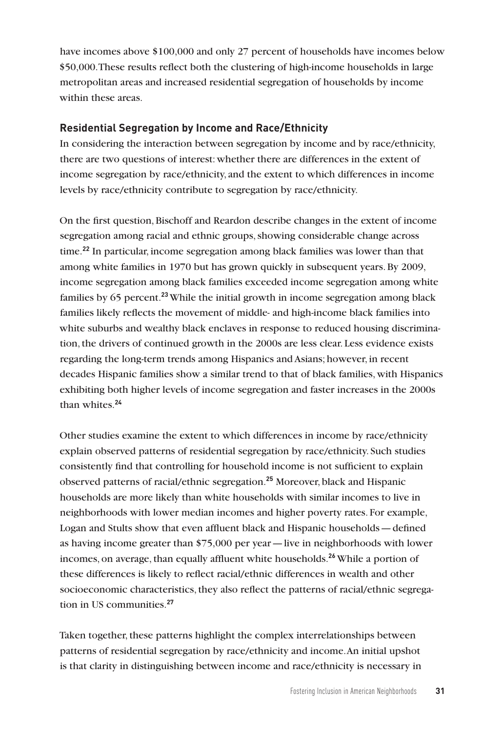have incomes above \$100,000 and only 27 percent of households have incomes below \$50,000. These results reflect both the clustering of high-income households in large metropolitan areas and increased residential segregation of households by income within these areas.

## **Residential Segregation by Income and Race/Ethnicity**

In considering the interaction between segregation by income and by race/ethnicity, there are two questions of interest: whether there are differences in the extent of income segregation by race/ethnicity, and the extent to which differences in income levels by race/ethnicity contribute to segregation by race/ethnicity.

On the first question, Bischoff and Reardon describe changes in the extent of income segregation among racial and ethnic groups, showing considerable change across time.**<sup>22</sup>** In particular, income segregation among black families was lower than that among white families in 1970 but has grown quickly in subsequent years. By 2009, income segregation among black families exceeded income segregation among white families by 65 percent.**<sup>23</sup>**While the initial growth in income segregation among black families likely reflects the movement of middle- and high-income black families into white suburbs and wealthy black enclaves in response to reduced housing discrimination, the drivers of continued growth in the 2000s are less clear. Less evidence exists regarding the long-term trends among Hispanics and Asians; however, in recent decades Hispanic families show a similar trend to that of black families, with Hispanics exhibiting both higher levels of income segregation and faster increases in the 2000s than whites.**<sup>24</sup>**

Other studies examine the extent to which differences in income by race/ethnicity explain observed patterns of residential segregation by race/ethnicity. Such studies consistently find that controlling for household income is not sufficient to explain observed patterns of racial/ethnic segregation.**<sup>25</sup>** Moreover, black and Hispanic households are more likely than white households with similar incomes to live in neighborhoods with lower median incomes and higher poverty rates. For example, Logan and Stults show that even affluent black and Hispanic households—defined as having income greater than \$75,000 per year—live in neighborhoods with lower incomes, on average, than equally affluent white households.**<sup>26</sup>** While a portion of these differences is likely to reflect racial/ethnic differences in wealth and other socioeconomic characteristics, they also reflect the patterns of racial/ethnic segregation in US communities.**<sup>27</sup>**

Taken together, these patterns highlight the complex interrelationships between patterns of residential segregation by race/ethnicity and income. An initial upshot is that clarity in distinguishing between income and race/ethnicity is necessary in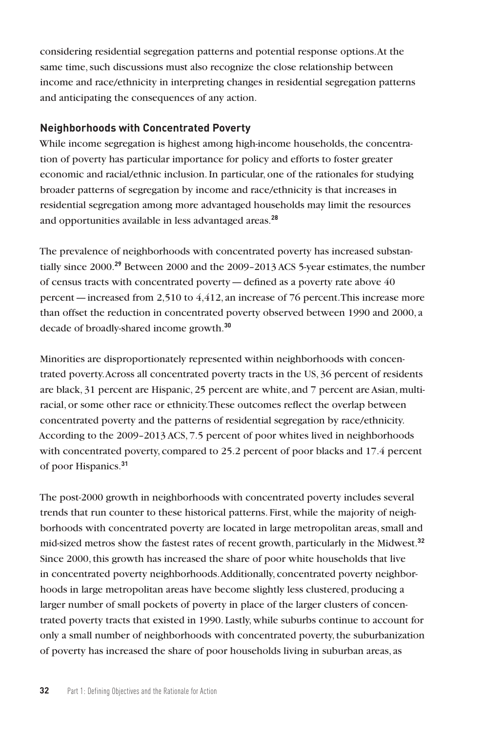considering residential segregation patterns and potential response options. At the same time, such discussions must also recognize the close relationship between income and race/ethnicity in interpreting changes in residential segregation patterns and anticipating the consequences of any action.

#### **Neighborhoods with Concentrated Poverty**

While income segregation is highest among high-income households, the concentration of poverty has particular importance for policy and efforts to foster greater economic and racial/ethnic inclusion. In particular, one of the rationales for studying broader patterns of segregation by income and race/ethnicity is that increases in residential segregation among more advantaged households may limit the resources and opportunities available in less advantaged areas.**<sup>28</sup>**

The prevalence of neighborhoods with concentrated poverty has increased substantially since 2000.**<sup>29</sup>** Between 2000 and the 2009–2013 ACS 5-year estimates, the number of census tracts with concentrated poverty—defined as a poverty rate above 40 percent—increased from 2,510 to 4,412, an increase of 76 percent. This increase more than offset the reduction in concentrated poverty observed between 1990 and 2000, a decade of broadly-shared income growth.**<sup>30</sup>**

Minorities are disproportionately represented within neighborhoods with concentrated poverty. Across all concentrated poverty tracts in the US, 36 percent of residents are black, 31 percent are Hispanic, 25 percent are white, and 7 percent are Asian, multiracial, or some other race or ethnicity. These outcomes reflect the overlap between concentrated poverty and the patterns of residential segregation by race/ethnicity. According to the 2009–2013 ACS, 7.5 percent of poor whites lived in neighborhoods with concentrated poverty, compared to 25.2 percent of poor blacks and 17.4 percent of poor Hispanics.**<sup>31</sup>**

The post-2000 growth in neighborhoods with concentrated poverty includes several trends that run counter to these historical patterns. First, while the majority of neighborhoods with concentrated poverty are located in large metropolitan areas, small and mid-sized metros show the fastest rates of recent growth, particularly in the Midwest.**<sup>32</sup>** Since 2000, this growth has increased the share of poor white households that live in concentrated poverty neighborhoods. Additionally, concentrated poverty neighborhoods in large metropolitan areas have become slightly less clustered, producing a larger number of small pockets of poverty in place of the larger clusters of concentrated poverty tracts that existed in 1990. Lastly, while suburbs continue to account for only a small number of neighborhoods with concentrated poverty, the suburbanization of poverty has increased the share of poor households living in suburban areas, as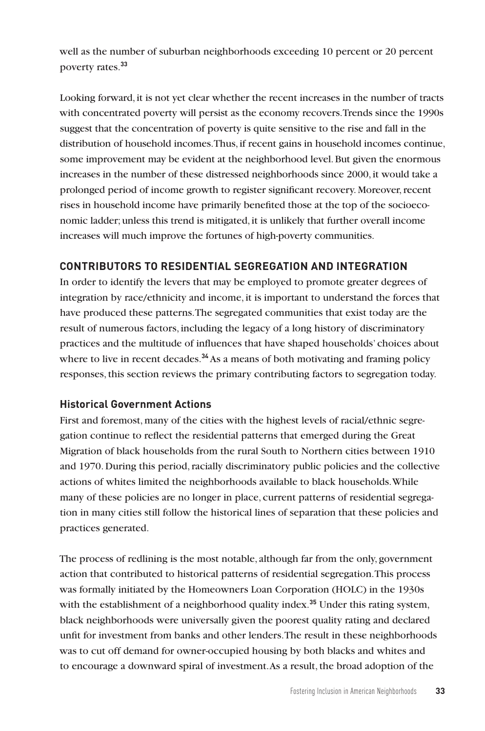well as the number of suburban neighborhoods exceeding 10 percent or 20 percent poverty rates.**<sup>33</sup>**

Looking forward, it is not yet clear whether the recent increases in the number of tracts with concentrated poverty will persist as the economy recovers. Trends since the 1990s suggest that the concentration of poverty is quite sensitive to the rise and fall in the distribution of household incomes. Thus, if recent gains in household incomes continue, some improvement may be evident at the neighborhood level. But given the enormous increases in the number of these distressed neighborhoods since 2000, it would take a prolonged period of income growth to register significant recovery. Moreover, recent rises in household income have primarily benefited those at the top of the socioeconomic ladder; unless this trend is mitigated, it is unlikely that further overall income increases will much improve the fortunes of high-poverty communities.

# **CONTRIBUTORS TO RESIDENTIAL SEGREGATION AND INTEGRATION**

In order to identify the levers that may be employed to promote greater degrees of integration by race/ethnicity and income, it is important to understand the forces that have produced these patterns. The segregated communities that exist today are the result of numerous factors, including the legacy of a long history of discriminatory practices and the multitude of influences that have shaped households' choices about where to live in recent decades.**<sup>34</sup>**As a means of both motivating and framing policy responses, this section reviews the primary contributing factors to segregation today.

# **Historical Government Actions**

First and foremost, many of the cities with the highest levels of racial/ethnic segregation continue to reflect the residential patterns that emerged during the Great Migration of black households from the rural South to Northern cities between 1910 and 1970. During this period, racially discriminatory public policies and the collective actions of whites limited the neighborhoods available to black households. While many of these policies are no longer in place, current patterns of residential segregation in many cities still follow the historical lines of separation that these policies and practices generated.

The process of redlining is the most notable, although far from the only, government action that contributed to historical patterns of residential segregation. This process was formally initiated by the Homeowners Loan Corporation (HOLC) in the 1930s with the establishment of a neighborhood quality index.**<sup>35</sup>** Under this rating system, black neighborhoods were universally given the poorest quality rating and declared unfit for investment from banks and other lenders. The result in these neighborhoods was to cut off demand for owner-occupied housing by both blacks and whites and to encourage a downward spiral of investment. As a result, the broad adoption of the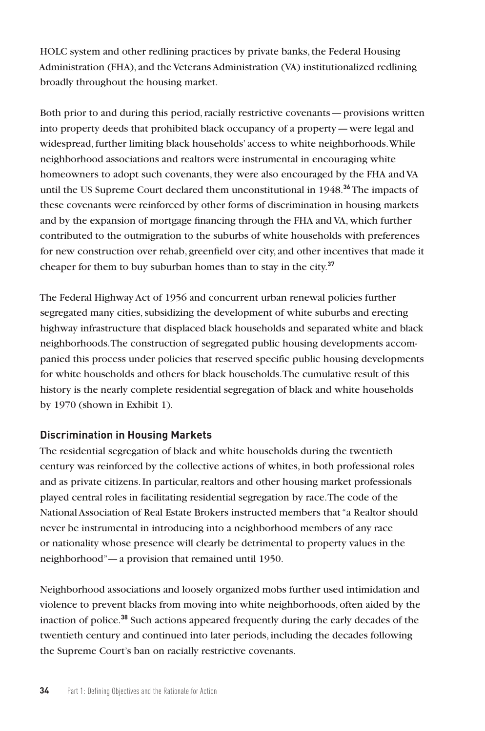HOLC system and other redlining practices by private banks, the Federal Housing Administration (FHA), and the Veterans Administration (VA) institutionalized redlining broadly throughout the housing market.

Both prior to and during this period, racially restrictive covenants—provisions written into property deeds that prohibited black occupancy of a property—were legal and widespread, further limiting black households' access to white neighborhoods. While neighborhood associations and realtors were instrumental in encouraging white homeowners to adopt such covenants, they were also encouraged by the FHA and VA until the US Supreme Court declared them unconstitutional in 1948.**<sup>36</sup>** The impacts of these covenants were reinforced by other forms of discrimination in housing markets and by the expansion of mortgage financing through the FHA and VA, which further contributed to the outmigration to the suburbs of white households with preferences for new construction over rehab, greenfield over city, and other incentives that made it cheaper for them to buy suburban homes than to stay in the city.**<sup>37</sup>**

The Federal Highway Act of 1956 and concurrent urban renewal policies further segregated many cities, subsidizing the development of white suburbs and erecting highway infrastructure that displaced black households and separated white and black neighborhoods. The construction of segregated public housing developments accompanied this process under policies that reserved specific public housing developments for white households and others for black households. The cumulative result of this history is the nearly complete residential segregation of black and white households by 1970 (shown in Exhibit 1).

# **Discrimination in Housing Markets**

The residential segregation of black and white households during the twentieth century was reinforced by the collective actions of whites, in both professional roles and as private citizens. In particular, realtors and other housing market professionals played central roles in facilitating residential segregation by race. The code of the National Association of Real Estate Brokers instructed members that "a Realtor should never be instrumental in introducing into a neighborhood members of any race or nationality whose presence will clearly be detrimental to property values in the neighborhood"—a provision that remained until 1950.

Neighborhood associations and loosely organized mobs further used intimidation and violence to prevent blacks from moving into white neighborhoods, often aided by the inaction of police.**<sup>38</sup>** Such actions appeared frequently during the early decades of the twentieth century and continued into later periods, including the decades following the Supreme Court's ban on racially restrictive covenants.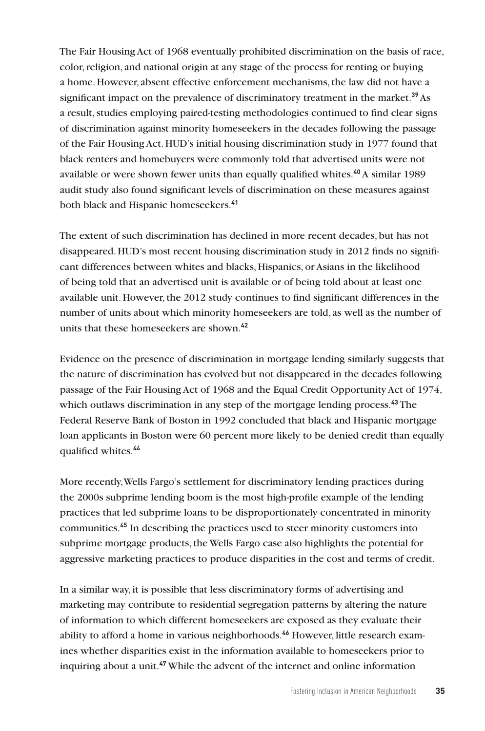The Fair Housing Act of 1968 eventually prohibited discrimination on the basis of race, color, religion, and national origin at any stage of the process for renting or buying a home. However, absent effective enforcement mechanisms, the law did not have a significant impact on the prevalence of discriminatory treatment in the market.**<sup>39</sup>**As a result, studies employing paired-testing methodologies continued to find clear signs of discrimination against minority homeseekers in the decades following the passage of the Fair Housing Act. HUD's initial housing discrimination study in 1977 found that black renters and homebuyers were commonly told that advertised units were not available or were shown fewer units than equally qualified whites.**<sup>40</sup>** A similar 1989 audit study also found significant levels of discrimination on these measures against both black and Hispanic homeseekers.**<sup>41</sup>**

The extent of such discrimination has declined in more recent decades, but has not disappeared. HUD's most recent housing discrimination study in 2012 finds no significant differences between whites and blacks, Hispanics, or Asians in the likelihood of being told that an advertised unit is available or of being told about at least one available unit. However, the 2012 study continues to find significant differences in the number of units about which minority homeseekers are told, as well as the number of units that these homeseekers are shown.**<sup>42</sup>**

Evidence on the presence of discrimination in mortgage lending similarly suggests that the nature of discrimination has evolved but not disappeared in the decades following passage of the Fair Housing Act of 1968 and the Equal Credit Opportunity Act of 1974, which outlaws discrimination in any step of the mortgage lending process.**<sup>43</sup>** The Federal Reserve Bank of Boston in 1992 concluded that black and Hispanic mortgage loan applicants in Boston were 60 percent more likely to be denied credit than equally qualified whites.**<sup>44</sup>**

More recently, Wells Fargo's settlement for discriminatory lending practices during the 2000s subprime lending boom is the most high-profile example of the lending practices that led subprime loans to be disproportionately concentrated in minority communities.**<sup>45</sup>** In describing the practices used to steer minority customers into subprime mortgage products, the Wells Fargo case also highlights the potential for aggressive marketing practices to produce disparities in the cost and terms of credit.

In a similar way, it is possible that less discriminatory forms of advertising and marketing may contribute to residential segregation patterns by altering the nature of information to which different homeseekers are exposed as they evaluate their ability to afford a home in various neighborhoods.**46** However, little research examines whether disparities exist in the information available to homeseekers prior to inquiring about a unit.**47** While the advent of the internet and online information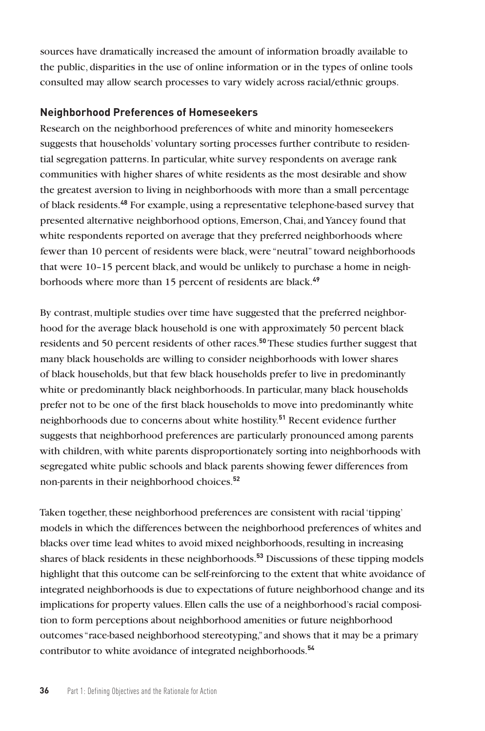sources have dramatically increased the amount of information broadly available to the public, disparities in the use of online information or in the types of online tools consulted may allow search processes to vary widely across racial/ethnic groups.

#### **Neighborhood Preferences of Homeseekers**

Research on the neighborhood preferences of white and minority homeseekers suggests that households' voluntary sorting processes further contribute to residential segregation patterns. In particular, white survey respondents on average rank communities with higher shares of white residents as the most desirable and show the greatest aversion to living in neighborhoods with more than a small percentage of black residents.**<sup>48</sup>** For example, using a representative telephone-based survey that presented alternative neighborhood options, Emerson, Chai, and Yancey found that white respondents reported on average that they preferred neighborhoods where fewer than 10 percent of residents were black, were "neutral" toward neighborhoods that were 10–15 percent black, and would be unlikely to purchase a home in neighborhoods where more than 15 percent of residents are black.**<sup>49</sup>**

By contrast, multiple studies over time have suggested that the preferred neighborhood for the average black household is one with approximately 50 percent black residents and 50 percent residents of other races.**<sup>50</sup>** These studies further suggest that many black households are willing to consider neighborhoods with lower shares of black households, but that few black households prefer to live in predominantly white or predominantly black neighborhoods. In particular, many black households prefer not to be one of the first black households to move into predominantly white neighborhoods due to concerns about white hostility.**<sup>51</sup>** Recent evidence further suggests that neighborhood preferences are particularly pronounced among parents with children, with white parents disproportionately sorting into neighborhoods with segregated white public schools and black parents showing fewer differences from non-parents in their neighborhood choices.**<sup>52</sup>**

Taken together, these neighborhood preferences are consistent with racial 'tipping' models in which the differences between the neighborhood preferences of whites and blacks over time lead whites to avoid mixed neighborhoods, resulting in increasing shares of black residents in these neighborhoods.**<sup>53</sup>** Discussions of these tipping models highlight that this outcome can be self-reinforcing to the extent that white avoidance of integrated neighborhoods is due to expectations of future neighborhood change and its implications for property values. Ellen calls the use of a neighborhood's racial composition to form perceptions about neighborhood amenities or future neighborhood outcomes "race-based neighborhood stereotyping," and shows that it may be a primary contributor to white avoidance of integrated neighborhoods.**54**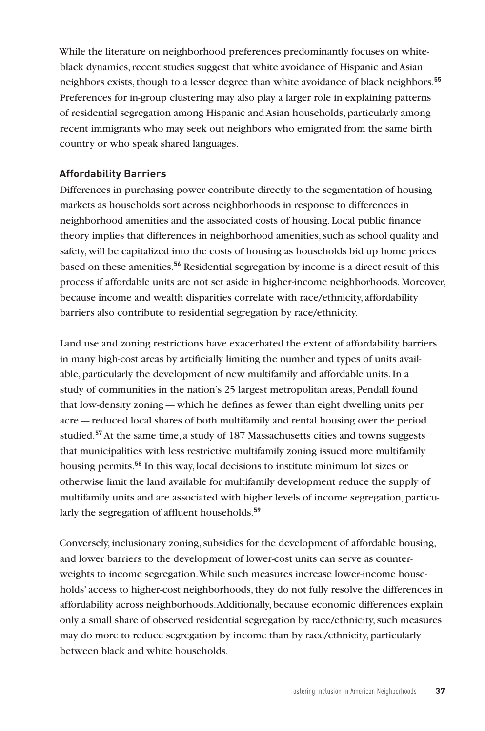While the literature on neighborhood preferences predominantly focuses on whiteblack dynamics, recent studies suggest that white avoidance of Hispanic and Asian neighbors exists, though to a lesser degree than white avoidance of black neighbors.**<sup>55</sup>** Preferences for in-group clustering may also play a larger role in explaining patterns of residential segregation among Hispanic and Asian households, particularly among recent immigrants who may seek out neighbors who emigrated from the same birth country or who speak shared languages.

## **Affordability Barriers**

Differences in purchasing power contribute directly to the segmentation of housing markets as households sort across neighborhoods in response to differences in neighborhood amenities and the associated costs of housing. Local public finance theory implies that differences in neighborhood amenities, such as school quality and safety, will be capitalized into the costs of housing as households bid up home prices based on these amenities.**<sup>56</sup>** Residential segregation by income is a direct result of this process if affordable units are not set aside in higher-income neighborhoods. Moreover, because income and wealth disparities correlate with race/ethnicity, affordability barriers also contribute to residential segregation by race/ethnicity.

Land use and zoning restrictions have exacerbated the extent of affordability barriers in many high-cost areas by artificially limiting the number and types of units available, particularly the development of new multifamily and affordable units. In a study of communities in the nation's 25 largest metropolitan areas, Pendall found that low-density zoning—which he defines as fewer than eight dwelling units per acre—reduced local shares of both multifamily and rental housing over the period studied.**<sup>57</sup>** At the same time, a study of 187 Massachusetts cities and towns suggests that municipalities with less restrictive multifamily zoning issued more multifamily housing permits.**<sup>58</sup>** In this way, local decisions to institute minimum lot sizes or otherwise limit the land available for multifamily development reduce the supply of multifamily units and are associated with higher levels of income segregation, particularly the segregation of affluent households.**<sup>59</sup>**

Conversely, inclusionary zoning, subsidies for the development of affordable housing, and lower barriers to the development of lower-cost units can serve as counterweights to income segregation. While such measures increase lower-income households' access to higher-cost neighborhoods, they do not fully resolve the differences in affordability across neighborhoods. Additionally, because economic differences explain only a small share of observed residential segregation by race/ethnicity, such measures may do more to reduce segregation by income than by race/ethnicity, particularly between black and white households.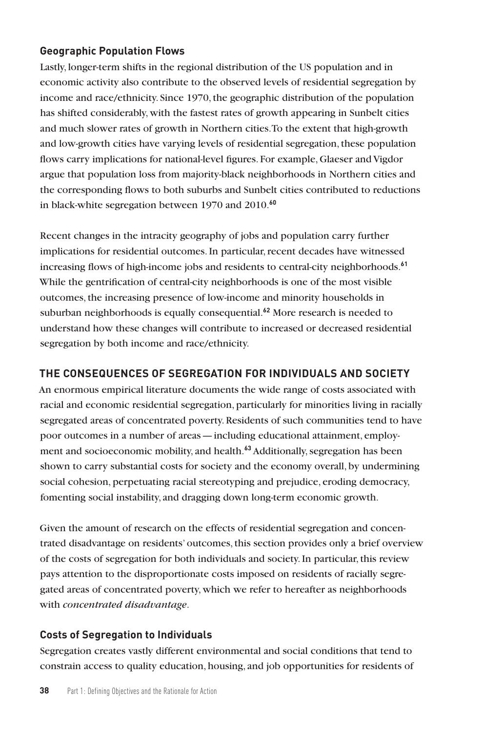## **Geographic Population Flows**

Lastly, longer-term shifts in the regional distribution of the US population and in economic activity also contribute to the observed levels of residential segregation by income and race/ethnicity. Since 1970, the geographic distribution of the population has shifted considerably, with the fastest rates of growth appearing in Sunbelt cities and much slower rates of growth in Northern cities. To the extent that high-growth and low-growth cities have varying levels of residential segregation, these population flows carry implications for national-level figures. For example, Glaeser and Vigdor argue that population loss from majority-black neighborhoods in Northern cities and the corresponding flows to both suburbs and Sunbelt cities contributed to reductions in black-white segregation between 1970 and 2010.**<sup>60</sup>**

Recent changes in the intracity geography of jobs and population carry further implications for residential outcomes. In particular, recent decades have witnessed increasing flows of high-income jobs and residents to central-city neighborhoods.**<sup>61</sup>** While the gentrification of central-city neighborhoods is one of the most visible outcomes, the increasing presence of low-income and minority households in suburban neighborhoods is equally consequential.**<sup>62</sup>** More research is needed to understand how these changes will contribute to increased or decreased residential segregation by both income and race/ethnicity.

# **THE CONSEQUENCES OF SEGREGATION FOR INDIVIDUALS AND SOCIETY**

An enormous empirical literature documents the wide range of costs associated with racial and economic residential segregation, particularly for minorities living in racially segregated areas of concentrated poverty. Residents of such communities tend to have poor outcomes in a number of areas—including educational attainment, employment and socioeconomic mobility, and health.**<sup>63</sup>** Additionally, segregation has been shown to carry substantial costs for society and the economy overall, by undermining social cohesion, perpetuating racial stereotyping and prejudice, eroding democracy, fomenting social instability, and dragging down long-term economic growth.

Given the amount of research on the effects of residential segregation and concentrated disadvantage on residents' outcomes, this section provides only a brief overview of the costs of segregation for both individuals and society. In particular, this review pays attention to the disproportionate costs imposed on residents of racially segregated areas of concentrated poverty, which we refer to hereafter as neighborhoods with *concentrated disadvantage*.

# **Costs of Segregation to Individuals**

Segregation creates vastly different environmental and social conditions that tend to constrain access to quality education, housing, and job opportunities for residents of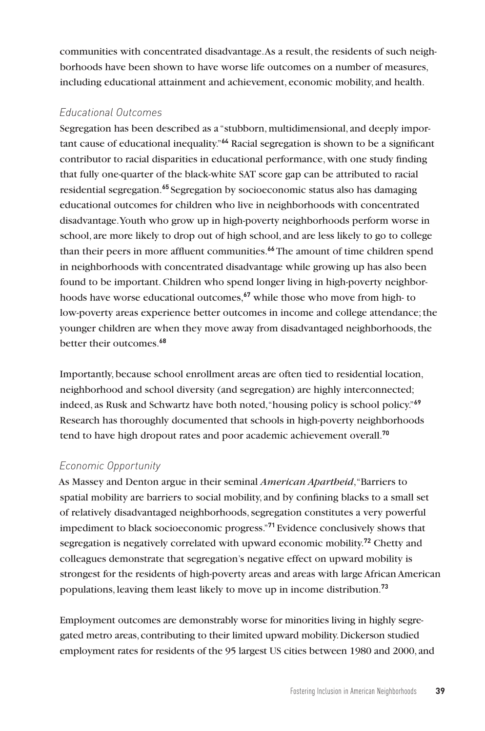communities with concentrated disadvantage. As a result, the residents of such neighborhoods have been shown to have worse life outcomes on a number of measures, including educational attainment and achievement, economic mobility, and health.

## *Educational Outcomes*

Segregation has been described as a "stubborn, multidimensional, and deeply important cause of educational inequality."**<sup>64</sup>** Racial segregation is shown to be a significant contributor to racial disparities in educational performance, with one study finding that fully one-quarter of the black-white SAT score gap can be attributed to racial residential segregation.**<sup>65</sup>** Segregation by socioeconomic status also has damaging educational outcomes for children who live in neighborhoods with concentrated disadvantage. Youth who grow up in high-poverty neighborhoods perform worse in school, are more likely to drop out of high school, and are less likely to go to college than their peers in more affluent communities.**<sup>66</sup>** The amount of time children spend in neighborhoods with concentrated disadvantage while growing up has also been found to be important. Children who spend longer living in high-poverty neighborhoods have worse educational outcomes,**<sup>67</sup>** while those who move from high- to low-poverty areas experience better outcomes in income and college attendance; the younger children are when they move away from disadvantaged neighborhoods, the better their outcomes.**<sup>68</sup>**

Importantly, because school enrollment areas are often tied to residential location, neighborhood and school diversity (and segregation) are highly interconnected; indeed, as Rusk and Schwartz have both noted, "housing policy is school policy."**<sup>69</sup>** Research has thoroughly documented that schools in high-poverty neighborhoods tend to have high dropout rates and poor academic achievement overall.**<sup>70</sup>**

# *Economic Opportunity*

As Massey and Denton argue in their seminal *American Apartheid*, "Barriers to spatial mobility are barriers to social mobility, and by confining blacks to a small set of relatively disadvantaged neighborhoods, segregation constitutes a very powerful impediment to black socioeconomic progress."**<sup>71</sup>** Evidence conclusively shows that segregation is negatively correlated with upward economic mobility.**<sup>72</sup>** Chetty and colleagues demonstrate that segregation's negative effect on upward mobility is strongest for the residents of high-poverty areas and areas with large African American populations, leaving them least likely to move up in income distribution.**<sup>73</sup>**

Employment outcomes are demonstrably worse for minorities living in highly segregated metro areas, contributing to their limited upward mobility. Dickerson studied employment rates for residents of the 95 largest US cities between 1980 and 2000, and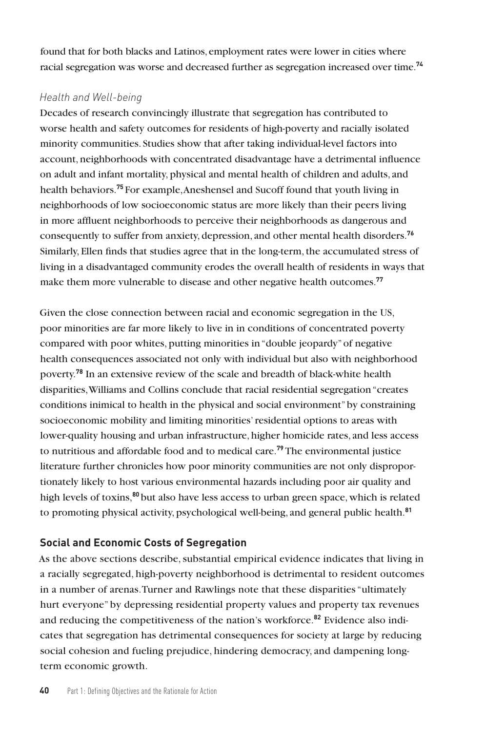found that for both blacks and Latinos, employment rates were lower in cities where racial segregation was worse and decreased further as segregation increased over time.**<sup>74</sup>**

## *Health and Well-being*

Decades of research convincingly illustrate that segregation has contributed to worse health and safety outcomes for residents of high-poverty and racially isolated minority communities. Studies show that after taking individual-level factors into account, neighborhoods with concentrated disadvantage have a detrimental influence on adult and infant mortality, physical and mental health of children and adults, and health behaviors.**<sup>75</sup>** For example, Aneshensel and Sucoff found that youth living in neighborhoods of low socioeconomic status are more likely than their peers living in more affluent neighborhoods to perceive their neighborhoods as dangerous and consequently to suffer from anxiety, depression, and other mental health disorders.**<sup>76</sup>** Similarly, Ellen finds that studies agree that in the long-term, the accumulated stress of living in a disadvantaged community erodes the overall health of residents in ways that make them more vulnerable to disease and other negative health outcomes.**<sup>77</sup>**

Given the close connection between racial and economic segregation in the US, poor minorities are far more likely to live in in conditions of concentrated poverty compared with poor whites, putting minorities in "double jeopardy" of negative health consequences associated not only with individual but also with neighborhood poverty.**<sup>78</sup>** In an extensive review of the scale and breadth of black-white health disparities, Williams and Collins conclude that racial residential segregation "creates conditions inimical to health in the physical and social environment" by constraining socioeconomic mobility and limiting minorities' residential options to areas with lower-quality housing and urban infrastructure, higher homicide rates, and less access to nutritious and affordable food and to medical care.**<sup>79</sup>** The environmental justice literature further chronicles how poor minority communities are not only disproportionately likely to host various environmental hazards including poor air quality and high levels of toxins,**<sup>80</sup>** but also have less access to urban green space, which is related to promoting physical activity, psychological well-being, and general public health.**<sup>81</sup>**

# **Social and Economic Costs of Segregation**

As the above sections describe, substantial empirical evidence indicates that living in a racially segregated, high-poverty neighborhood is detrimental to resident outcomes in a number of arenas. Turner and Rawlings note that these disparities "ultimately hurt everyone" by depressing residential property values and property tax revenues and reducing the competitiveness of the nation's workforce.**82** Evidence also indicates that segregation has detrimental consequences for society at large by reducing social cohesion and fueling prejudice, hindering democracy, and dampening longterm economic growth.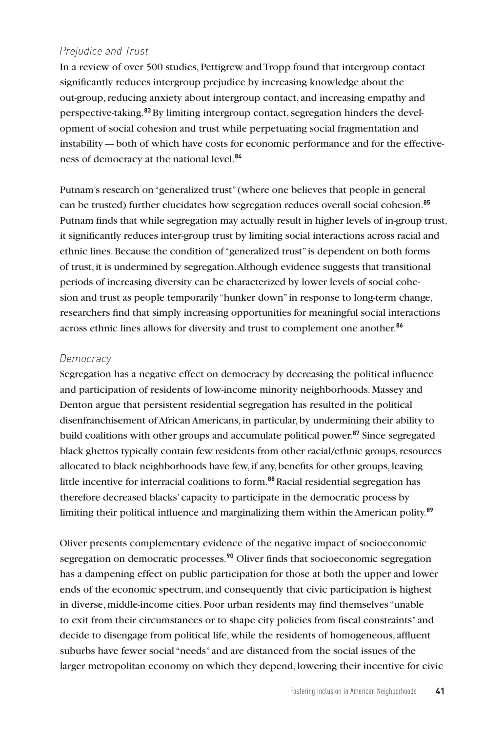## *Prejudice and Trust*

In a review of over 500 studies, Pettigrew and Tropp found that intergroup contact significantly reduces intergroup prejudice by increasing knowledge about the out-group, reducing anxiety about intergroup contact, and increasing empathy and perspective-taking.**83**By limiting intergroup contact, segregation hinders the development of social cohesion and trust while perpetuating social fragmentation and instability—both of which have costs for economic performance and for the effectiveness of democracy at the national level.**<sup>84</sup>**

Putnam's research on "generalized trust" (where one believes that people in general can be trusted) further elucidates how segregation reduces overall social cohesion.**<sup>85</sup>** Putnam finds that while segregation may actually result in higher levels of in-group trust, it significantly reduces inter-group trust by limiting social interactions across racial and ethnic lines. Because the condition of "generalized trust" is dependent on both forms of trust, it is undermined by segregation. Although evidence suggests that transitional periods of increasing diversity can be characterized by lower levels of social cohesion and trust as people temporarily "hunker down" in response to long-term change, researchers find that simply increasing opportunities for meaningful social interactions across ethnic lines allows for diversity and trust to complement one another.**<sup>86</sup>**

#### *Democracy*

Segregation has a negative effect on democracy by decreasing the political influence and participation of residents of low-income minority neighborhoods. Massey and Denton argue that persistent residential segregation has resulted in the political disenfranchisement of African Americans, in particular, by undermining their ability to build coalitions with other groups and accumulate political power.**<sup>87</sup>** Since segregated black ghettos typically contain few residents from other racial/ethnic groups, resources allocated to black neighborhoods have few, if any, benefits for other groups, leaving little incentive for interracial coalitions to form.**<sup>88</sup>**Racial residential segregation has therefore decreased blacks' capacity to participate in the democratic process by limiting their political influence and marginalizing them within the American polity.**<sup>89</sup>**

Oliver presents complementary evidence of the negative impact of socioeconomic segregation on democratic processes.**<sup>90</sup>** Oliver finds that socioeconomic segregation has a dampening effect on public participation for those at both the upper and lower ends of the economic spectrum, and consequently that civic participation is highest in diverse, middle-income cities. Poor urban residents may find themselves "unable to exit from their circumstances or to shape city policies from fiscal constraints" and decide to disengage from political life, while the residents of homogeneous, affluent suburbs have fewer social "needs" and are distanced from the social issues of the larger metropolitan economy on which they depend, lowering their incentive for civic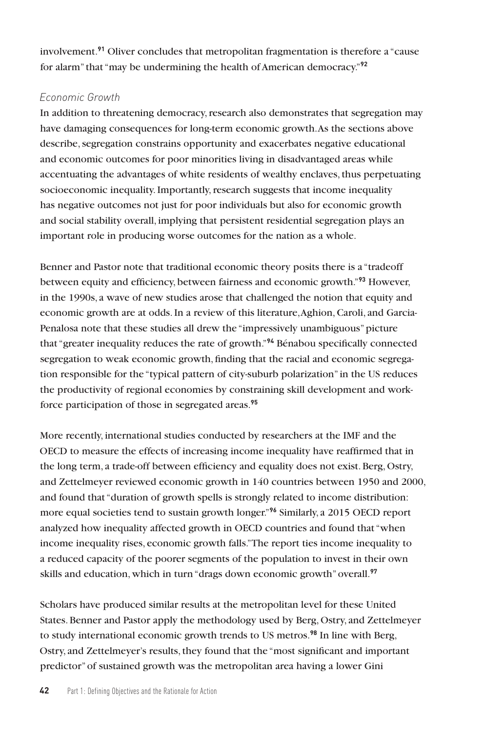involvement.**<sup>91</sup>** Oliver concludes that metropolitan fragmentation is therefore a "cause for alarm" that "may be undermining the health of American democracy."**<sup>92</sup>**

## *Economic Growth*

In addition to threatening democracy, research also demonstrates that segregation may have damaging consequences for long-term economic growth. As the sections above describe, segregation constrains opportunity and exacerbates negative educational and economic outcomes for poor minorities living in disadvantaged areas while accentuating the advantages of white residents of wealthy enclaves, thus perpetuating socioeconomic inequality. Importantly, research suggests that income inequality has negative outcomes not just for poor individuals but also for economic growth and social stability overall, implying that persistent residential segregation plays an important role in producing worse outcomes for the nation as a whole.

Benner and Pastor note that traditional economic theory posits there is a "tradeoff between equity and efficiency, between fairness and economic growth."**<sup>93</sup>** However, in the 1990s, a wave of new studies arose that challenged the notion that equity and economic growth are at odds. In a review of this literature, Aghion, Caroli, and Garcia-Penalosa note that these studies all drew the "impressively unambiguous" picture that "greater inequality reduces the rate of growth."**<sup>94</sup>** Bénabou specifically connected segregation to weak economic growth, finding that the racial and economic segregation responsible for the "typical pattern of city-suburb polarization" in the US reduces the productivity of regional economies by constraining skill development and workforce participation of those in segregated areas.**<sup>95</sup>**

More recently, international studies conducted by researchers at the IMF and the OECD to measure the effects of increasing income inequality have reaffirmed that in the long term, a trade-off between efficiency and equality does not exist. Berg, Ostry, and Zettelmeyer reviewed economic growth in 140 countries between 1950 and 2000, and found that "duration of growth spells is strongly related to income distribution: more equal societies tend to sustain growth longer."**<sup>96</sup>** Similarly, a 2015 OECD report analyzed how inequality affected growth in OECD countries and found that "when income inequality rises, economic growth falls." The report ties income inequality to a reduced capacity of the poorer segments of the population to invest in their own skills and education, which in turn "drags down economic growth" overall.**<sup>97</sup>**

Scholars have produced similar results at the metropolitan level for these United States. Benner and Pastor apply the methodology used by Berg, Ostry, and Zettelmeyer to study international economic growth trends to US metros.**<sup>98</sup>** In line with Berg, Ostry, and Zettelmeyer's results, they found that the "most significant and important predictor" of sustained growth was the metropolitan area having a lower Gini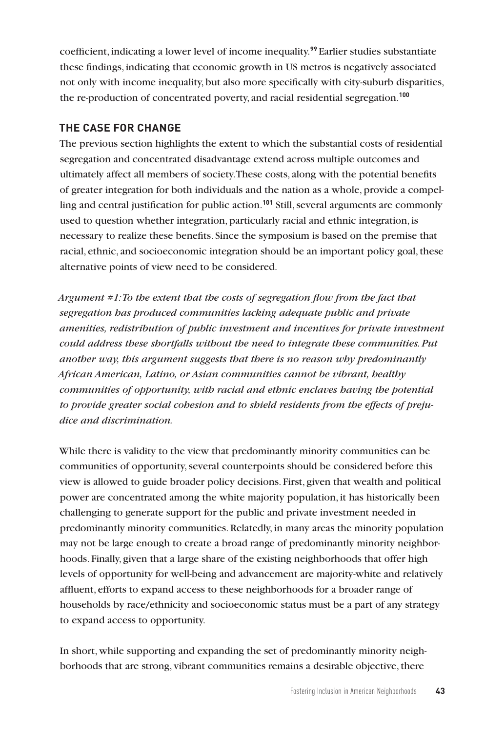coefficient, indicating a lower level of income inequality.**<sup>99</sup>** Earlier studies substantiate these findings, indicating that economic growth in US metros is negatively associated not only with income inequality, but also more specifically with city-suburb disparities, the re-production of concentrated poverty, and racial residential segregation.**<sup>100</sup>**

## **THE CASE FOR CHANGE**

The previous section highlights the extent to which the substantial costs of residential segregation and concentrated disadvantage extend across multiple outcomes and ultimately affect all members of society. These costs, along with the potential benefits of greater integration for both individuals and the nation as a whole, provide a compelling and central justification for public action.**<sup>101</sup>** Still, several arguments are commonly used to question whether integration, particularly racial and ethnic integration, is necessary to realize these benefits. Since the symposium is based on the premise that racial, ethnic, and socioeconomic integration should be an important policy goal, these alternative points of view need to be considered.

*Argument #1: To the extent that the costs of segregation flow from the fact that segregation has produced communities lacking adequate public and private amenities, redistribution of public investment and incentives for private investment could address these shortfalls without the need to integrate these communities. Put another way, this argument suggests that there is no reason why predominantly African American, Latino, or Asian communities cannot be vibrant, healthy communities of opportunity, with racial and ethnic enclaves having the potential to provide greater social cohesion and to shield residents from the effects of prejudice and discrimination.* 

While there is validity to the view that predominantly minority communities can be communities of opportunity, several counterpoints should be considered before this view is allowed to guide broader policy decisions. First, given that wealth and political power are concentrated among the white majority population, it has historically been challenging to generate support for the public and private investment needed in predominantly minority communities. Relatedly, in many areas the minority population may not be large enough to create a broad range of predominantly minority neighborhoods. Finally, given that a large share of the existing neighborhoods that offer high levels of opportunity for well-being and advancement are majority-white and relatively affluent, efforts to expand access to these neighborhoods for a broader range of households by race/ethnicity and socioeconomic status must be a part of any strategy to expand access to opportunity.

In short, while supporting and expanding the set of predominantly minority neighborhoods that are strong, vibrant communities remains a desirable objective, there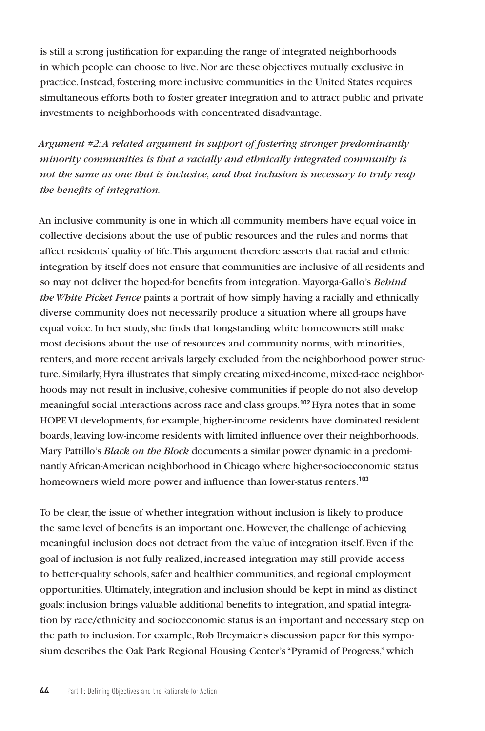is still a strong justification for expanding the range of integrated neighborhoods in which people can choose to live. Nor are these objectives mutually exclusive in practice. Instead, fostering more inclusive communities in the United States requires simultaneous efforts both to foster greater integration and to attract public and private investments to neighborhoods with concentrated disadvantage.

*Argument #2: A related argument in support of fostering stronger predominantly minority communities is that a racially and ethnically integrated community is not the same as one that is inclusive, and that inclusion is necessary to truly reap the benefits of integration.* 

An inclusive community is one in which all community members have equal voice in collective decisions about the use of public resources and the rules and norms that affect residents' quality of life. This argument therefore asserts that racial and ethnic integration by itself does not ensure that communities are inclusive of all residents and so may not deliver the hoped-for benefits from integration. Mayorga-Gallo's *Behind the White Picket Fence* paints a portrait of how simply having a racially and ethnically diverse community does not necessarily produce a situation where all groups have equal voice. In her study, she finds that longstanding white homeowners still make most decisions about the use of resources and community norms, with minorities, renters, and more recent arrivals largely excluded from the neighborhood power structure. Similarly, Hyra illustrates that simply creating mixed-income, mixed-race neighborhoods may not result in inclusive, cohesive communities if people do not also develop meaningful social interactions across race and class groups.**<sup>102</sup>**Hyra notes that in some HOPE VI developments, for example, higher-income residents have dominated resident boards, leaving low-income residents with limited influence over their neighborhoods. Mary Pattillo's *Black on the Block* documents a similar power dynamic in a predominantly African-American neighborhood in Chicago where higher-socioeconomic status homeowners wield more power and influence than lower-status renters.**<sup>103</sup>**

To be clear, the issue of whether integration without inclusion is likely to produce the same level of benefits is an important one. However, the challenge of achieving meaningful inclusion does not detract from the value of integration itself. Even if the goal of inclusion is not fully realized, increased integration may still provide access to better-quality schools, safer and healthier communities, and regional employment opportunities. Ultimately, integration and inclusion should be kept in mind as distinct goals: inclusion brings valuable additional benefits to integration, and spatial integration by race/ethnicity and socioeconomic status is an important and necessary step on the path to inclusion. For example, Rob Breymaier's discussion paper for this symposium describes the Oak Park Regional Housing Center's "Pyramid of Progress," which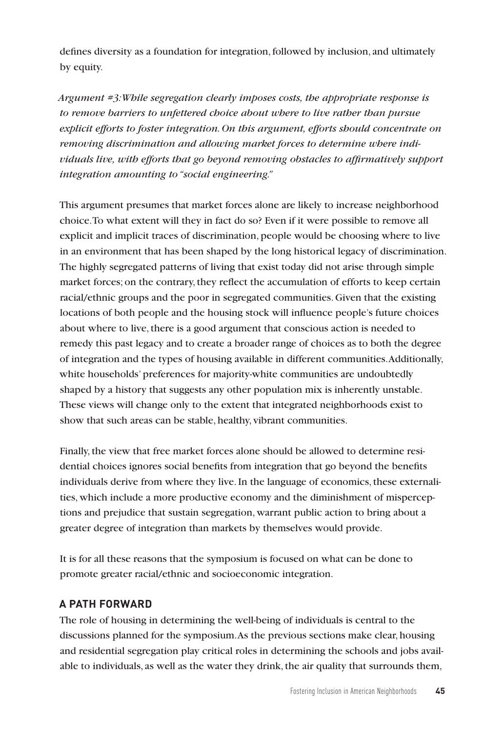defines diversity as a foundation for integration, followed by inclusion, and ultimately by equity.

*Argument #3: While segregation clearly imposes costs, the appropriate response is to remove barriers to unfettered choice about where to live rather than pursue explicit efforts to foster integration. On this argument, efforts should concentrate on removing discrimination and allowing market forces to determine where individuals live, with efforts that go beyond removing obstacles to affirmatively support integration amounting to "social engineering."* 

This argument presumes that market forces alone are likely to increase neighborhood choice. To what extent will they in fact do so? Even if it were possible to remove all explicit and implicit traces of discrimination, people would be choosing where to live in an environment that has been shaped by the long historical legacy of discrimination. The highly segregated patterns of living that exist today did not arise through simple market forces; on the contrary, they reflect the accumulation of efforts to keep certain racial/ethnic groups and the poor in segregated communities. Given that the existing locations of both people and the housing stock will influence people's future choices about where to live, there is a good argument that conscious action is needed to remedy this past legacy and to create a broader range of choices as to both the degree of integration and the types of housing available in different communities. Additionally, white households' preferences for majority-white communities are undoubtedly shaped by a history that suggests any other population mix is inherently unstable. These views will change only to the extent that integrated neighborhoods exist to show that such areas can be stable, healthy, vibrant communities.

Finally, the view that free market forces alone should be allowed to determine residential choices ignores social benefits from integration that go beyond the benefits individuals derive from where they live. In the language of economics, these externalities, which include a more productive economy and the diminishment of misperceptions and prejudice that sustain segregation, warrant public action to bring about a greater degree of integration than markets by themselves would provide.

It is for all these reasons that the symposium is focused on what can be done to promote greater racial/ethnic and socioeconomic integration.

#### **A PATH FORWARD**

The role of housing in determining the well-being of individuals is central to the discussions planned for the symposium. As the previous sections make clear, housing and residential segregation play critical roles in determining the schools and jobs available to individuals, as well as the water they drink, the air quality that surrounds them,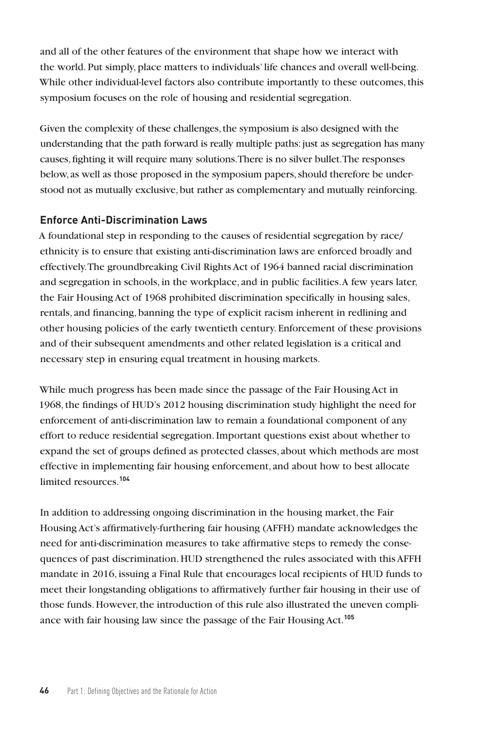and all of the other features of the environment that shape how we interact with the world. Put simply, place matters to individuals' life chances and overall well-being. While other individual-level factors also contribute importantly to these outcomes, this symposium focuses on the role of housing and residential segregation.

Given the complexity of these challenges, the symposium is also designed with the understanding that the path forward is really multiple paths: just as segregation has many causes, fighting it will require many solutions. There is no silver bullet. The responses below, as well as those proposed in the symposium papers, should therefore be understood not as mutually exclusive, but rather as complementary and mutually reinforcing.

## **Enforce Anti-Discrimination Laws**

A foundational step in responding to the causes of residential segregation by race/ ethnicity is to ensure that existing anti-discrimination laws are enforced broadly and effectively. The groundbreaking Civil Rights Act of 1964 banned racial discrimination and segregation in schools, in the workplace, and in public facilities. A few years later, the Fair Housing Act of 1968 prohibited discrimination specifically in housing sales, rentals, and financing, banning the type of explicit racism inherent in redlining and other housing policies of the early twentieth century. Enforcement of these provisions and of their subsequent amendments and other related legislation is a critical and necessary step in ensuring equal treatment in housing markets.

While much progress has been made since the passage of the Fair Housing Act in 1968, the findings of HUD's 2012 housing discrimination study highlight the need for enforcement of anti-discrimination law to remain a foundational component of any effort to reduce residential segregation. Important questions exist about whether to expand the set of groups defined as protected classes, about which methods are most effective in implementing fair housing enforcement, and about how to best allocate limited resources.**<sup>104</sup>**

In addition to addressing ongoing discrimination in the housing market, the Fair Housing Act's affirmatively-furthering fair housing (AFFH) mandate acknowledges the need for anti-discrimination measures to take affirmative steps to remedy the consequences of past discrimination. HUD strengthened the rules associated with this AFFH mandate in 2016, issuing a Final Rule that encourages local recipients of HUD funds to meet their longstanding obligations to affirmatively further fair housing in their use of those funds. However, the introduction of this rule also illustrated the uneven compliance with fair housing law since the passage of the Fair Housing Act.**105**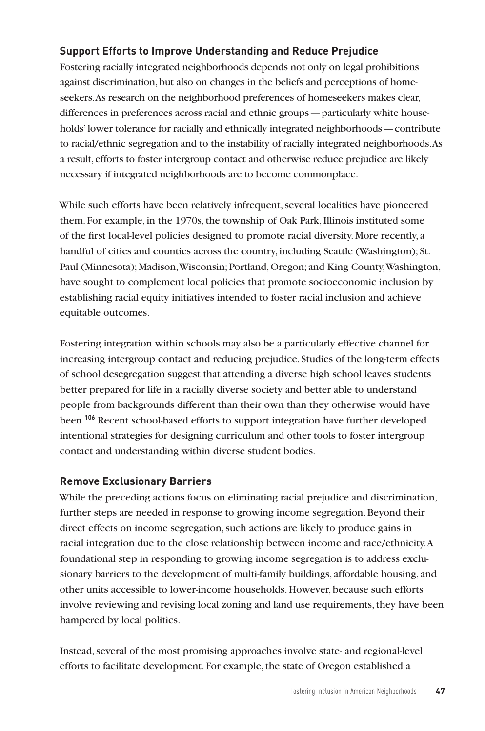# **Support Efforts to Improve Understanding and Reduce Prejudice**

Fostering racially integrated neighborhoods depends not only on legal prohibitions against discrimination, but also on changes in the beliefs and perceptions of homeseekers. As research on the neighborhood preferences of homeseekers makes clear, differences in preferences across racial and ethnic groups—particularly white households' lower tolerance for racially and ethnically integrated neighborhoods—contribute to racial/ethnic segregation and to the instability of racially integrated neighborhoods. As a result, efforts to foster intergroup contact and otherwise reduce prejudice are likely necessary if integrated neighborhoods are to become commonplace.

While such efforts have been relatively infrequent, several localities have pioneered them. For example, in the 1970s, the township of Oak Park, Illinois instituted some of the first local-level policies designed to promote racial diversity. More recently, a handful of cities and counties across the country, including Seattle (Washington); St. Paul (Minnesota); Madison, Wisconsin; Portland, Oregon; and King County, Washington, have sought to complement local policies that promote socioeconomic inclusion by establishing racial equity initiatives intended to foster racial inclusion and achieve equitable outcomes.

Fostering integration within schools may also be a particularly effective channel for increasing intergroup contact and reducing prejudice. Studies of the long-term effects of school desegregation suggest that attending a diverse high school leaves students better prepared for life in a racially diverse society and better able to understand people from backgrounds different than their own than they otherwise would have been.**<sup>106</sup>** Recent school-based efforts to support integration have further developed intentional strategies for designing curriculum and other tools to foster intergroup contact and understanding within diverse student bodies.

#### **Remove Exclusionary Barriers**

While the preceding actions focus on eliminating racial prejudice and discrimination, further steps are needed in response to growing income segregation. Beyond their direct effects on income segregation, such actions are likely to produce gains in racial integration due to the close relationship between income and race/ethnicity. A foundational step in responding to growing income segregation is to address exclusionary barriers to the development of multi-family buildings, affordable housing, and other units accessible to lower-income households. However, because such efforts involve reviewing and revising local zoning and land use requirements, they have been hampered by local politics.

Instead, several of the most promising approaches involve state- and regional-level efforts to facilitate development. For example, the state of Oregon established a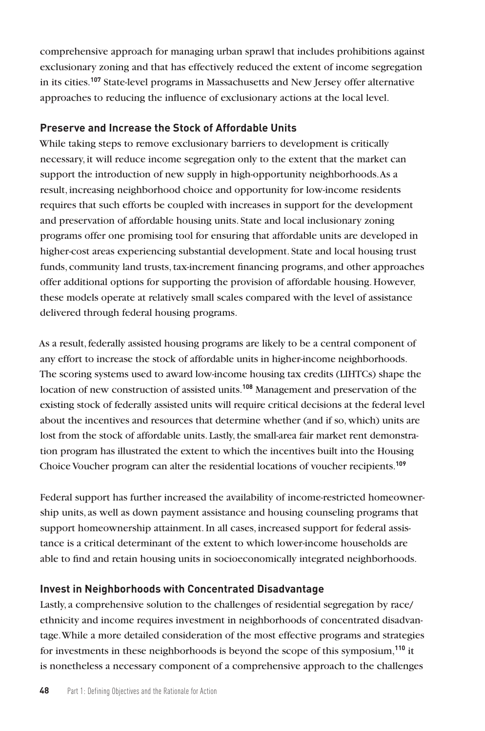comprehensive approach for managing urban sprawl that includes prohibitions against exclusionary zoning and that has effectively reduced the extent of income segregation in its cities.**<sup>107</sup>** State-level programs in Massachusetts and New Jersey offer alternative approaches to reducing the influence of exclusionary actions at the local level.

#### **Preserve and Increase the Stock of Affordable Units**

While taking steps to remove exclusionary barriers to development is critically necessary, it will reduce income segregation only to the extent that the market can support the introduction of new supply in high-opportunity neighborhoods. As a result, increasing neighborhood choice and opportunity for low-income residents requires that such efforts be coupled with increases in support for the development and preservation of affordable housing units. State and local inclusionary zoning programs offer one promising tool for ensuring that affordable units are developed in higher-cost areas experiencing substantial development. State and local housing trust funds, community land trusts, tax-increment financing programs, and other approaches offer additional options for supporting the provision of affordable housing. However, these models operate at relatively small scales compared with the level of assistance delivered through federal housing programs.

As a result, federally assisted housing programs are likely to be a central component of any effort to increase the stock of affordable units in higher-income neighborhoods. The scoring systems used to award low-income housing tax credits (LIHTCs) shape the location of new construction of assisted units.**<sup>108</sup>** Management and preservation of the existing stock of federally assisted units will require critical decisions at the federal level about the incentives and resources that determine whether (and if so, which) units are lost from the stock of affordable units. Lastly, the small-area fair market rent demonstration program has illustrated the extent to which the incentives built into the Housing Choice Voucher program can alter the residential locations of voucher recipients.**<sup>109</sup>**

Federal support has further increased the availability of income-restricted homeownership units, as well as down payment assistance and housing counseling programs that support homeownership attainment. In all cases, increased support for federal assistance is a critical determinant of the extent to which lower-income households are able to find and retain housing units in socioeconomically integrated neighborhoods.

#### **Invest in Neighborhoods with Concentrated Disadvantage**

Lastly, a comprehensive solution to the challenges of residential segregation by race/ ethnicity and income requires investment in neighborhoods of concentrated disadvantage. While a more detailed consideration of the most effective programs and strategies for investments in these neighborhoods is beyond the scope of this symposium,**<sup>110</sup>** it is nonetheless a necessary component of a comprehensive approach to the challenges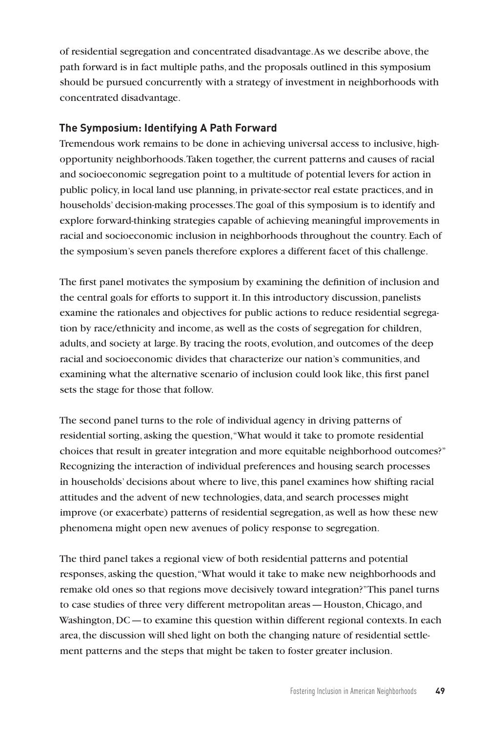of residential segregation and concentrated disadvantage. As we describe above, the path forward is in fact multiple paths, and the proposals outlined in this symposium should be pursued concurrently with a strategy of investment in neighborhoods with concentrated disadvantage.

## **The Symposium: Identifying A Path Forward**

Tremendous work remains to be done in achieving universal access to inclusive, highopportunity neighborhoods. Taken together, the current patterns and causes of racial and socioeconomic segregation point to a multitude of potential levers for action in public policy, in local land use planning, in private-sector real estate practices, and in households' decision-making processes. The goal of this symposium is to identify and explore forward-thinking strategies capable of achieving meaningful improvements in racial and socioeconomic inclusion in neighborhoods throughout the country. Each of the symposium's seven panels therefore explores a different facet of this challenge.

The first panel motivates the symposium by examining the definition of inclusion and the central goals for efforts to support it. In this introductory discussion, panelists examine the rationales and objectives for public actions to reduce residential segregation by race/ethnicity and income, as well as the costs of segregation for children, adults, and society at large. By tracing the roots, evolution, and outcomes of the deep racial and socioeconomic divides that characterize our nation's communities, and examining what the alternative scenario of inclusion could look like, this first panel sets the stage for those that follow.

The second panel turns to the role of individual agency in driving patterns of residential sorting, asking the question, "What would it take to promote residential choices that result in greater integration and more equitable neighborhood outcomes?" Recognizing the interaction of individual preferences and housing search processes in households' decisions about where to live, this panel examines how shifting racial attitudes and the advent of new technologies, data, and search processes might improve (or exacerbate) patterns of residential segregation, as well as how these new phenomena might open new avenues of policy response to segregation.

The third panel takes a regional view of both residential patterns and potential responses, asking the question, "What would it take to make new neighborhoods and remake old ones so that regions move decisively toward integration?" This panel turns to case studies of three very different metropolitan areas—Houston, Chicago, and Washington, DC—to examine this question within different regional contexts. In each area, the discussion will shed light on both the changing nature of residential settlement patterns and the steps that might be taken to foster greater inclusion.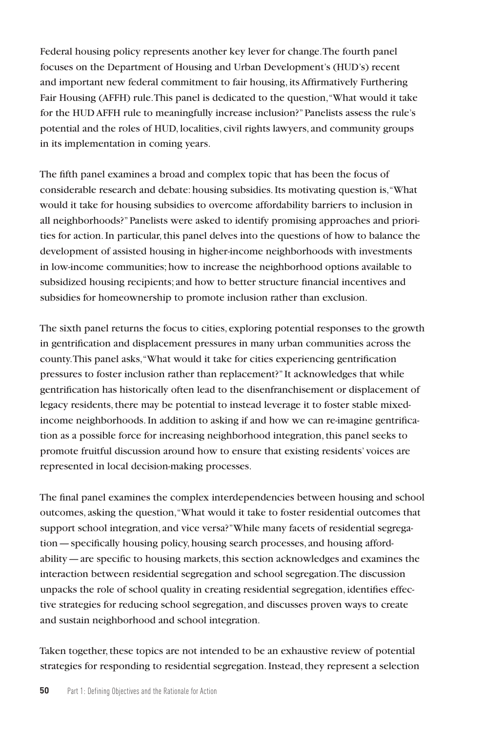Federal housing policy represents another key lever for change. The fourth panel focuses on the Department of Housing and Urban Development's (HUD's) recent and important new federal commitment to fair housing, its Affirmatively Furthering Fair Housing (AFFH) rule. This panel is dedicated to the question, "What would it take for the HUD AFFH rule to meaningfully increase inclusion?" Panelists assess the rule's potential and the roles of HUD, localities, civil rights lawyers, and community groups in its implementation in coming years.

The fifth panel examines a broad and complex topic that has been the focus of considerable research and debate: housing subsidies. Its motivating question is, "What would it take for housing subsidies to overcome affordability barriers to inclusion in all neighborhoods?" Panelists were asked to identify promising approaches and priorities for action. In particular, this panel delves into the questions of how to balance the development of assisted housing in higher-income neighborhoods with investments in low-income communities; how to increase the neighborhood options available to subsidized housing recipients; and how to better structure financial incentives and subsidies for homeownership to promote inclusion rather than exclusion.

The sixth panel returns the focus to cities, exploring potential responses to the growth in gentrification and displacement pressures in many urban communities across the county. This panel asks, "What would it take for cities experiencing gentrification pressures to foster inclusion rather than replacement?" It acknowledges that while gentrification has historically often lead to the disenfranchisement or displacement of legacy residents, there may be potential to instead leverage it to foster stable mixedincome neighborhoods. In addition to asking if and how we can re-imagine gentrification as a possible force for increasing neighborhood integration, this panel seeks to promote fruitful discussion around how to ensure that existing residents' voices are represented in local decision-making processes.

The final panel examines the complex interdependencies between housing and school outcomes, asking the question, "What would it take to foster residential outcomes that support school integration, and vice versa?" While many facets of residential segregation—specifically housing policy, housing search processes, and housing affordability—are specific to housing markets, this section acknowledges and examines the interaction between residential segregation and school segregation. The discussion unpacks the role of school quality in creating residential segregation, identifies effective strategies for reducing school segregation, and discusses proven ways to create and sustain neighborhood and school integration.

Taken together, these topics are not intended to be an exhaustive review of potential strategies for responding to residential segregation. Instead, they represent a selection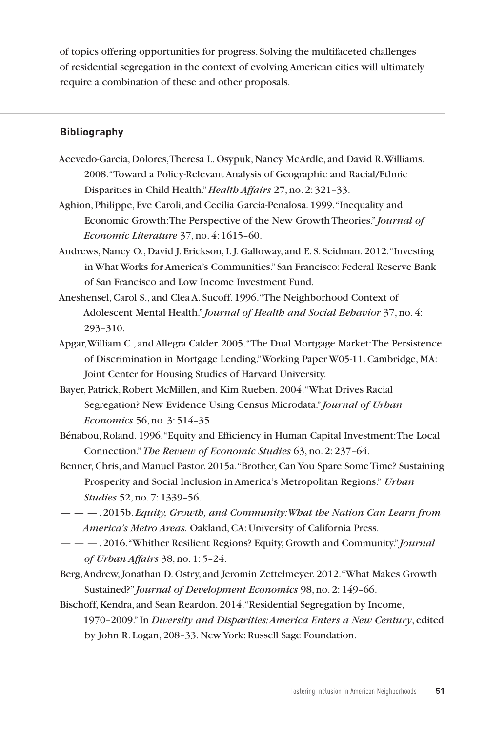of topics offering opportunities for progress. Solving the multifaceted challenges of residential segregation in the context of evolving American cities will ultimately require a combination of these and other proposals.

#### **Bibliography**

- Acevedo-Garcia, Dolores, Theresa L. Osypuk, Nancy McArdle, and David R. Williams. 2008. "Toward a Policy-Relevant Analysis of Geographic and Racial/Ethnic Disparities in Child Health." *Health Affairs* 27, no. 2: 321–33.
- Aghion, Philippe, Eve Caroli, and Cecilia Garcia-Penalosa. 1999. "Inequality and Economic Growth: The Perspective of the New Growth Theories." *Journal of Economic Literature* 37, no. 4: 1615–60.
- Andrews, Nancy O., David J. Erickson, I. J. Galloway, and E. S. Seidman. 2012. "Investing in What Works for America's Communities." San Francisco: Federal Reserve Bank of San Francisco and Low Income Investment Fund.
- Aneshensel, Carol S., and Clea A. Sucoff. 1996. "The Neighborhood Context of Adolescent Mental Health." *Journal of Health and Social Behavior* 37, no. 4: 293–310.
- Apgar, William C., and Allegra Calder. 2005. "The Dual Mortgage Market: The Persistence of Discrimination in Mortgage Lending." Working Paper W05-11. Cambridge, MA: Joint Center for Housing Studies of Harvard University.
- Bayer, Patrick, Robert McMillen, and Kim Rueben. 2004. "What Drives Racial Segregation? New Evidence Using Census Microdata." *Journal of Urban Economics* 56, no. 3: 514–35.
- Bénabou, Roland. 1996. "Equity and Efficiency in Human Capital Investment: The Local Connection." *The Review of Economic Studies* 63, no. 2: 237–64.
- Benner, Chris, and Manuel Pastor. 2015a. "Brother, Can You Spare Some Time? Sustaining Prosperity and Social Inclusion in America's Metropolitan Regions." *Urban Studies* 52, no. 7: 1339–56.
- — —. 2015b. *Equity, Growth, and Community: What the Nation Can Learn from America's Metro Areas.* Oakland, CA: University of California Press.
- — —. 2016. "Whither Resilient Regions? Equity, Growth and Community." *Journal of Urban Affairs* 38, no. 1: 5–24.
- Berg, Andrew, Jonathan D. Ostry, and Jeromin Zettelmeyer. 2012. "What Makes Growth Sustained?" *Journal of Development Economics* 98, no. 2: 149–66.
- Bischoff, Kendra, and Sean Reardon. 2014. "Residential Segregation by Income, 1970–2009." In *Diversity and Disparities: America Enters a New Century*, edited by John R. Logan, 208–33. New York: Russell Sage Foundation.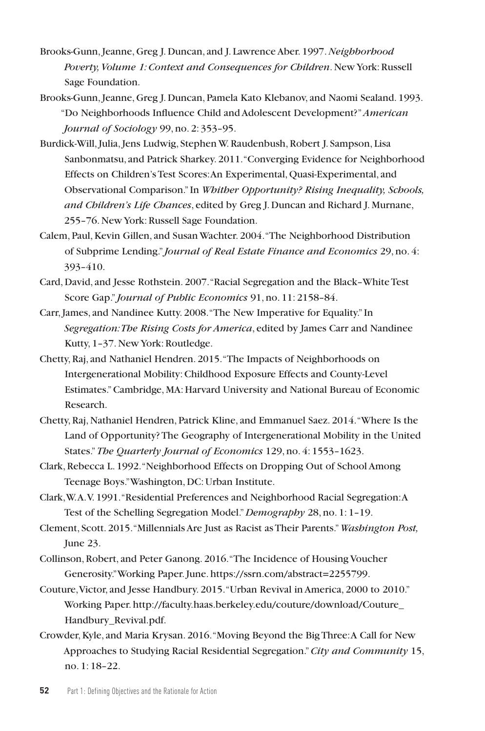- Brooks-Gunn, Jeanne, Greg J. Duncan, and J. Lawrence Aber. 1997. *Neighborhood Poverty, Volume 1: Context and Consequences for Children*. New York: Russell Sage Foundation.
- Brooks-Gunn, Jeanne, Greg J. Duncan, Pamela Kato Klebanov, and Naomi Sealand. 1993. "Do Neighborhoods Influence Child and Adolescent Development?" *American Journal of Sociology* 99, no. 2: 353–95.
- Burdick-Will, Julia, Jens Ludwig, Stephen W. Raudenbush, Robert J. Sampson, Lisa Sanbonmatsu, and Patrick Sharkey. 2011. "Converging Evidence for Neighborhood Effects on Children's Test Scores: An Experimental, Quasi-Experimental, and Observational Comparison." In *Whither Opportunity? Rising Inequality, Schools, and Children's Life Chances*, edited by Greg J. Duncan and Richard J. Murnane, 255–76. New York: Russell Sage Foundation.
- Calem, Paul, Kevin Gillen, and Susan Wachter. 2004. "The Neighborhood Distribution of Subprime Lending." *Journal of Real Estate Finance and Economics* 29, no. 4: 393–410.
- Card, David, and Jesse Rothstein. 2007. "Racial Segregation and the Black–White Test Score Gap." *Journal of Public Economics* 91, no. 11: 2158–84.
- Carr, James, and Nandinee Kutty. 2008. "The New Imperative for Equality." In *Segregation: The Rising Costs for America*, edited by James Carr and Nandinee Kutty, 1–37. New York: Routledge.
- Chetty, Raj, and Nathaniel Hendren. 2015. "The Impacts of Neighborhoods on Intergenerational Mobility: Childhood Exposure Effects and County-Level Estimates." Cambridge, MA: Harvard University and National Bureau of Economic Research.
- Chetty, Raj, Nathaniel Hendren, Patrick Kline, and Emmanuel Saez. 2014. "Where Is the Land of Opportunity? The Geography of Intergenerational Mobility in the United States." *The Quarterly Journal of Economics* 129, no. 4: 1553–1623.
- Clark, Rebecca L. 1992. "Neighborhood Effects on Dropping Out of School Among Teenage Boys." Washington, DC: Urban Institute.
- Clark, W. A. V. 1991. "Residential Preferences and Neighborhood Racial Segregation: A Test of the Schelling Segregation Model." *Demography* 28, no. 1: 1–19.
- Clement, Scott. 2015. "Millennials Are Just as Racist as Their Parents." *Washington Post,* June 23.
- Collinson, Robert, and Peter Ganong. 2016. "The Incidence of Housing Voucher Generosity." Working Paper. June. https://ssrn.com/abstract=2255799.
- Couture, Victor, and Jesse Handbury. 2015. "Urban Revival in America, 2000 to 2010." Working Paper. http://faculty.haas.berkeley.edu/couture/download/Couture\_ Handbury\_Revival.pdf.
- Crowder, Kyle, and Maria Krysan. 2016. "Moving Beyond the Big Three: A Call for New Approaches to Studying Racial Residential Segregation." *City and Community* 15, no. 1: 18–22.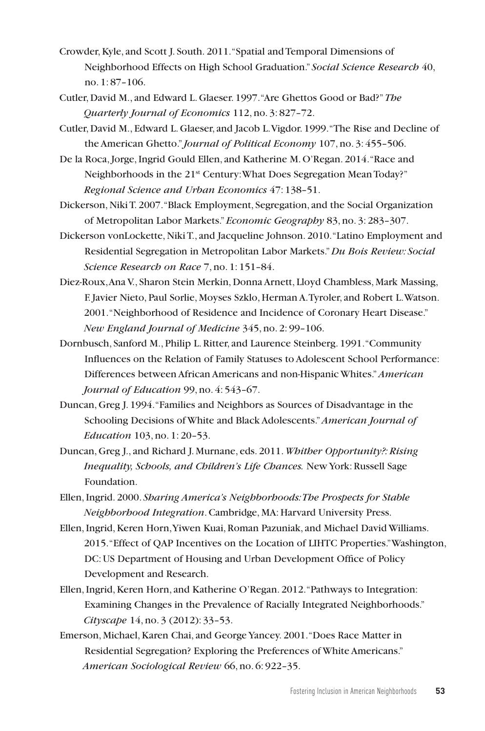- Crowder, Kyle, and Scott J. South. 2011. "Spatial and Temporal Dimensions of Neighborhood Effects on High School Graduation." *Social Science Research* 40, no. 1: 87–106.
- Cutler, David M., and Edward L. Glaeser. 1997. "Are Ghettos Good or Bad?" *The Quarterly Journal of Economics* 112, no. 3: 827–72.
- Cutler, David M., Edward L. Glaeser, and Jacob L. Vigdor. 1999. "The Rise and Decline of the American Ghetto." *Journal of Political Economy* 107, no. 3: 455–506.
- De la Roca, Jorge, Ingrid Gould Ellen, and Katherine M. O'Regan. 2014. "Race and Neighborhoods in the 21<sup>st</sup> Century: What Does Segregation Mean Today?" *Regional Science and Urban Economics* 47: 138–51.
- Dickerson, Niki T. 2007. "Black Employment, Segregation, and the Social Organization of Metropolitan Labor Markets." *Economic Geography* 83, no. 3: 283–307.
- Dickerson vonLockette, Niki T., and Jacqueline Johnson. 2010. "Latino Employment and Residential Segregation in Metropolitan Labor Markets." *Du Bois Review: Social Science Research on Race* 7, no. 1: 151–84.
- Diez-Roux, Ana V., Sharon Stein Merkin, Donna Arnett, Lloyd Chambless, Mark Massing, F. Javier Nieto, Paul Sorlie, Moyses Szklo, Herman A. Tyroler, and Robert L. Watson. 2001. "Neighborhood of Residence and Incidence of Coronary Heart Disease." *New England Journal of Medicine* 345, no. 2: 99–106.
- Dornbusch, Sanford M., Philip L. Ritter, and Laurence Steinberg. 1991. "Community Influences on the Relation of Family Statuses to Adolescent School Performance: Differences between African Americans and non-Hispanic Whites." *American Journal of Education* 99, no. 4: 543–67.
- Duncan, Greg J. 1994. "Families and Neighbors as Sources of Disadvantage in the Schooling Decisions of White and Black Adolescents." *American Journal of Education* 103, no. 1: 20–53.
- Duncan, Greg J., and Richard J. Murnane, eds. 2011. *Whither Opportunity?: Rising Inequality, Schools, and Children's Life Chances.* New York: Russell Sage Foundation.
- Ellen, Ingrid. 2000. *Sharing America's Neighborhoods: The Prospects for Stable Neighborhood Integration*. Cambridge, MA: Harvard University Press.
- Ellen, Ingrid, Keren Horn, Yiwen Kuai, Roman Pazuniak, and Michael David Williams. 2015. "Effect of QAP Incentives on the Location of LIHTC Properties." Washington, DC: US Department of Housing and Urban Development Office of Policy Development and Research.
- Ellen, Ingrid, Keren Horn, and Katherine O'Regan. 2012. "Pathways to Integration: Examining Changes in the Prevalence of Racially Integrated Neighborhoods." *Cityscape* 14, no. 3 (2012): 33–53.
- Emerson, Michael, Karen Chai, and George Yancey. 2001. "Does Race Matter in Residential Segregation? Exploring the Preferences of White Americans." *American Sociological Review* 66, no. 6: 922–35.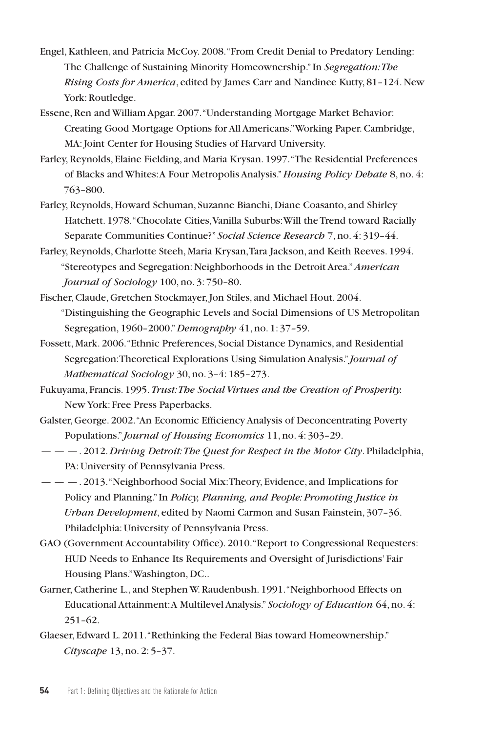- Engel, Kathleen, and Patricia McCoy. 2008. "From Credit Denial to Predatory Lending: The Challenge of Sustaining Minority Homeownership." In *Segregation: The Rising Costs for America*, edited by James Carr and Nandinee Kutty, 81–124. New York: Routledge.
- Essene, Ren and William Apgar. 2007. "Understanding Mortgage Market Behavior: Creating Good Mortgage Options for All Americans." Working Paper. Cambridge, MA: Joint Center for Housing Studies of Harvard University.
- Farley, Reynolds, Elaine Fielding, and Maria Krysan. 1997. "The Residential Preferences of Blacks and Whites: A Four Metropolis Analysis." *Housing Policy Debate* 8, no. 4: 763–800.
- Farley, Reynolds, Howard Schuman, Suzanne Bianchi, Diane Coasanto, and Shirley Hatchett. 1978. "Chocolate Cities, Vanilla Suburbs: Will the Trend toward Racially Separate Communities Continue?" *Social Science Research* 7, no. 4: 319–44.
- Farley, Reynolds, Charlotte Steeh, Maria Krysan, Tara Jackson, and Keith Reeves. 1994. "Stereotypes and Segregation: Neighborhoods in the Detroit Area." *American Journal of Sociology* 100, no. 3: 750–80.
- Fischer, Claude, Gretchen Stockmayer, Jon Stiles, and Michael Hout. 2004. "Distinguishing the Geographic Levels and Social Dimensions of US Metropolitan Segregation, 1960–2000." *Demography* 41, no. 1: 37–59.
- Fossett, Mark. 2006. "Ethnic Preferences, Social Distance Dynamics, and Residential Segregation: Theoretical Explorations Using Simulation Analysis." *Journal of Mathematical Sociology* 30, no. 3–4: 185–273.
- Fukuyama, Francis. 1995. *Trust: The Social Virtues and the Creation of Prosperity.* New York: Free Press Paperbacks.
- Galster, George. 2002. "An Economic Efficiency Analysis of Deconcentrating Poverty Populations." *Journal of Housing Economics* 11, no. 4: 303–29.
- — —. 2012. *Driving Detroit: The Quest for Respect in the Motor City*. Philadelphia, PA: University of Pennsylvania Press.
- — —. 2013. "Neighborhood Social Mix: Theory, Evidence, and Implications for Policy and Planning." In *Policy, Planning, and People: Promoting Justice in Urban Development*, edited by Naomi Carmon and Susan Fainstein, 307–36. Philadelphia: University of Pennsylvania Press.
- GAO (Government Accountability Office). 2010. "Report to Congressional Requesters: HUD Needs to Enhance Its Requirements and Oversight of Jurisdictions' Fair Housing Plans." Washington, DC..
- Garner, Catherine L., and Stephen W. Raudenbush. 1991. "Neighborhood Effects on Educational Attainment: A Multilevel Analysis." *Sociology of Education* 64, no. 4: 251–62.
- Glaeser, Edward L. 2011. "Rethinking the Federal Bias toward Homeownership." *Cityscape* 13, no. 2: 5–37.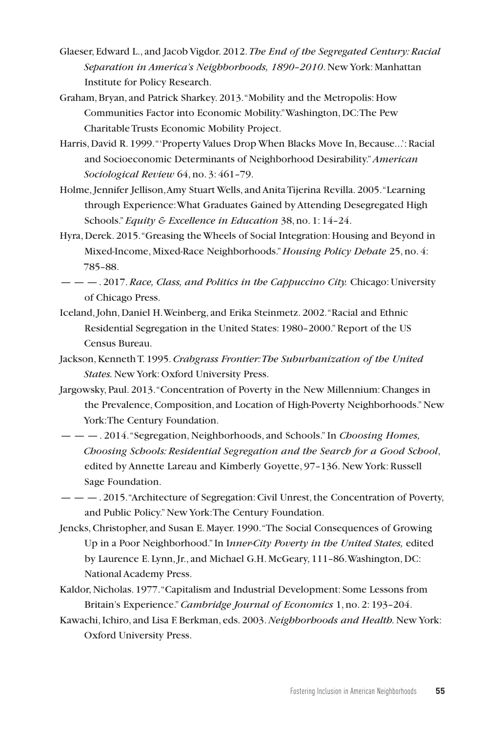- Glaeser, Edward L., and Jacob Vigdor. 2012. *The End of the Segregated Century: Racial Separation in America's Neighborhoods, 1890–2010*. New York: Manhattan Institute for Policy Research.
- Graham, Bryan, and Patrick Sharkey. 2013. "Mobility and the Metropolis: How Communities Factor into Economic Mobility." Washington, DC: The Pew Charitable Trusts Economic Mobility Project.
- Harris, David R. 1999. "'Property Values Drop When Blacks Move In, Because...': Racial and Socioeconomic Determinants of Neighborhood Desirability."*American Sociological Review* 64, no. 3: 461–79.
- Holme, Jennifer Jellison, Amy Stuart Wells, and Anita Tijerina Revilla. 2005. "Learning through Experience: What Graduates Gained by Attending Desegregated High Schools." *Equity & Excellence in Education* 38, no. 1: 14–24.
- Hyra, Derek. 2015. "Greasing the Wheels of Social Integration: Housing and Beyond in Mixed-Income, Mixed-Race Neighborhoods." *Housing Policy Debate* 25, no. 4: 785–88.
- — —. 2017. *Race, Class, and Politics in the Cappuccino City.* Chicago: University of Chicago Press.
- Iceland, John, Daniel H. Weinberg, and Erika Steinmetz. 2002. "Racial and Ethnic Residential Segregation in the United States: 1980–2000." Report of the US Census Bureau.
- Jackson, Kenneth T. 1995. *Crabgrass Frontier: The Suburbanization of the United States.* New York: Oxford University Press.
- Jargowsky, Paul. 2013. "Concentration of Poverty in the New Millennium: Changes in the Prevalence, Composition, and Location of High-Poverty Neighborhoods." New York: The Century Foundation.
- — —. 2014. "Segregation, Neighborhoods, and Schools." In *Choosing Homes, Choosing Schools: Residential Segregation and the Search for a Good School*, edited by Annette Lareau and Kimberly Goyette, 97–136. New York: Russell Sage Foundation.
- — —. 2015. "Architecture of Segregation: Civil Unrest, the Concentration of Poverty, and Public Policy." New York: The Century Foundation.
- Jencks, Christopher, and Susan E. Mayer. 1990. "The Social Consequences of Growing Up in a Poor Neighborhood." In I*nner-City Poverty in the United States,* edited by Laurence E. Lynn, Jr., and Michael G.H. McGeary, 111–86. Washington, DC: National Academy Press.
- Kaldor, Nicholas. 1977. "Capitalism and Industrial Development: Some Lessons from Britain's Experience." *Cambridge Journal of Economics* 1, no. 2: 193–204.
- Kawachi, Ichiro, and Lisa F. Berkman, eds. 2003. *Neighborhoods and Health.* New York: Oxford University Press.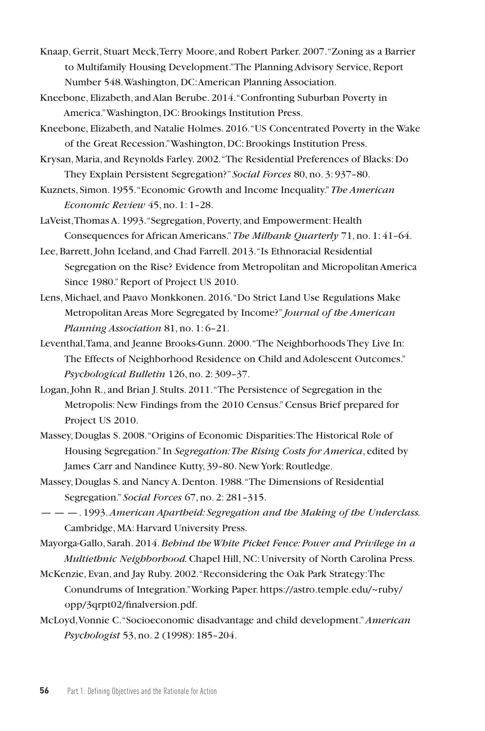- Knaap, Gerrit, Stuart Meck, Terry Moore, and Robert Parker. 2007. "Zoning as a Barrier to Multifamily Housing Development." The Planning Advisory Service, Report Number 548. Washington, DC: American Planning Association.
- Kneebone, Elizabeth, and Alan Berube. 2014. "Confronting Suburban Poverty in America." Washington, DC: Brookings Institution Press.
- Kneebone, Elizabeth, and Natalie Holmes. 2016. "US Concentrated Poverty in the Wake of the Great Recession." Washington, DC: Brookings Institution Press.
- Krysan, Maria, and Reynolds Farley. 2002. "The Residential Preferences of Blacks: Do They Explain Persistent Segregation?" *Social Forces* 80, no. 3: 937–80.
- Kuznets, Simon. 1955. "Economic Growth and Income Inequality." *The American Economic Review* 45, no. 1: 1–28.
- LaVeist, Thomas A. 1993. "Segregation, Poverty, and Empowerment: Health Consequences for African Americans." *The Milbank Quarterly* 71, no. 1: 41–64.
- Lee, Barrett, John Iceland, and Chad Farrell. 2013. "Is Ethnoracial Residential Segregation on the Rise? Evidence from Metropolitan and Micropolitan America Since 1980." Report of Project US 2010.
- Lens, Michael, and Paavo Monkkonen. 2016. "Do Strict Land Use Regulations Make Metropolitan Areas More Segregated by Income?" *Journal of the American Planning Association* 81, no. 1: 6–21.
- Leventhal, Tama, and Jeanne Brooks-Gunn. 2000. "The Neighborhoods They Live In: The Effects of Neighborhood Residence on Child and Adolescent Outcomes." *Psychological Bulletin* 126, no. 2: 309–37.
- Logan, John R., and Brian J. Stults. 2011. "The Persistence of Segregation in the Metropolis: New Findings from the 2010 Census." Census Brief prepared for Project US 2010.
- Massey, Douglas S. 2008. "Origins of Economic Disparities: The Historical Role of Housing Segregation." In *Segregation: The Rising Costs for America*, edited by James Carr and Nandinee Kutty, 39–80. New York: Routledge.
- Massey, Douglas S. and Nancy A. Denton. 1988. "The Dimensions of Residential Segregation." *Social Forces* 67, no. 2: 281–315.
- — —. 1993. *American Apartheid: Segregation and the Making of the Underclass.*  Cambridge, MA: Harvard University Press.
- Mayorga-Gallo, Sarah. 2014. *Behind the White Picket Fence: Power and Privilege in a Multiethnic Neighborhood.* Chapel Hill, NC: University of North Carolina Press.
- McKenzie, Evan, and Jay Ruby. 2002. "Reconsidering the Oak Park Strategy: The Conundrums of Integration." Working Paper. https://astro.temple.edu/~ruby/ opp/3qrpt02/finalversion.pdf.
- McLoyd, Vonnie C. "Socioeconomic disadvantage and child development." *American Psychologist* 53, no. 2 (1998): 185–204.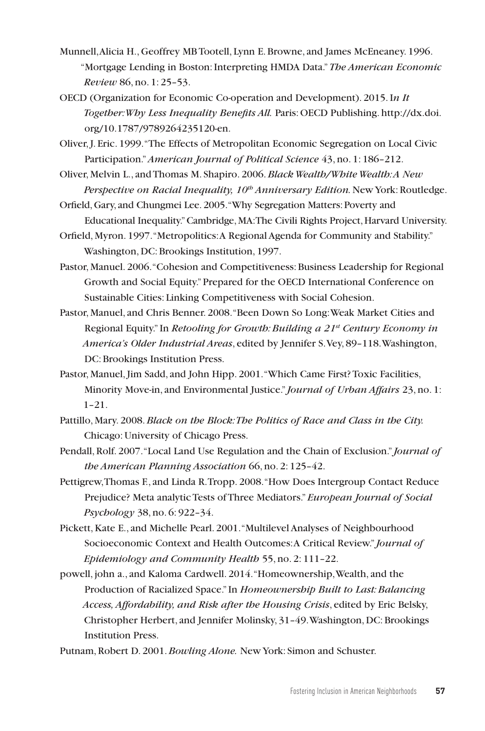- Munnell, Alicia H., Geoffrey MB Tootell, Lynn E. Browne, and James McEneaney. 1996. "Mortgage Lending in Boston: Interpreting HMDA Data." *The American Economic Review* 86, no. 1: 25–53.
- OECD (Organization for Economic Co-operation and Development). 2015. I*n It Together: Why Less Inequality Benefits All.* Paris: OECD Publishing. http://dx.doi. org/10.1787/9789264235120-en.
- Oliver, J. Eric. 1999. "The Effects of Metropolitan Economic Segregation on Local Civic Participation." *American Journal of Political Science* 43, no. 1: 186–212.
- Oliver, Melvin L., and Thomas M. Shapiro. 2006. *Black Wealth/White Wealth: A New*  Perspective on Racial Inequality, 10<sup>th</sup> Anniversary Edition. New York: Routledge.
- Orfield, Gary, and Chungmei Lee. 2005. "Why Segregation Matters: Poverty and Educational Inequality." Cambridge, MA: The Civili Rights Project, Harvard University.
- Orfield, Myron. 1997. "Metropolitics: A Regional Agenda for Community and Stability." Washington, DC: Brookings Institution, 1997.
- Pastor, Manuel. 2006. "Cohesion and Competitiveness: Business Leadership for Regional Growth and Social Equity." Prepared for the OECD International Conference on Sustainable Cities: Linking Competitiveness with Social Cohesion.
- Pastor, Manuel, and Chris Benner. 2008. "Been Down So Long: Weak Market Cities and Regional Equity." In *Retooling for Growth: Building a 21st Century Economy in America's Older Industrial Areas*, edited by Jennifer S. Vey, 89–118. Washington, DC: Brookings Institution Press.
- Pastor, Manuel, Jim Sadd, and John Hipp. 2001. "Which Came First? Toxic Facilities, Minority Move-in, and Environmental Justice." *Journal of Urban Affairs* 23, no. 1: 1–21.
- Pattillo, Mary. 2008. *Black on the Block: The Politics of Race and Class in the City.*  Chicago: University of Chicago Press.
- Pendall, Rolf. 2007. "Local Land Use Regulation and the Chain of Exclusion." *Journal of the American Planning Association* 66, no. 2: 125–42.
- Pettigrew, Thomas F., and Linda R. Tropp. 2008. "How Does Intergroup Contact Reduce Prejudice? Meta analytic Tests of Three Mediators." *European Journal of Social Psychology* 38, no. 6: 922–34.
- Pickett, Kate E., and Michelle Pearl. 2001. "Multilevel Analyses of Neighbourhood Socioeconomic Context and Health Outcomes: A Critical Review." *Journal of Epidemiology and Community Health* 55, no. 2: 111–22.
- powell, john a., and Kaloma Cardwell. 2014. "Homeownership, Wealth, and the Production of Racialized Space." In *Homeownership Built to Last: Balancing Access, Affordability, and Risk after the Housing Crisis*, edited by Eric Belsky, Christopher Herbert, and Jennifer Molinsky, 31–49. Washington, DC: Brookings Institution Press.
- Putnam, Robert D. 2001. *Bowling Alone.* New York: Simon and Schuster.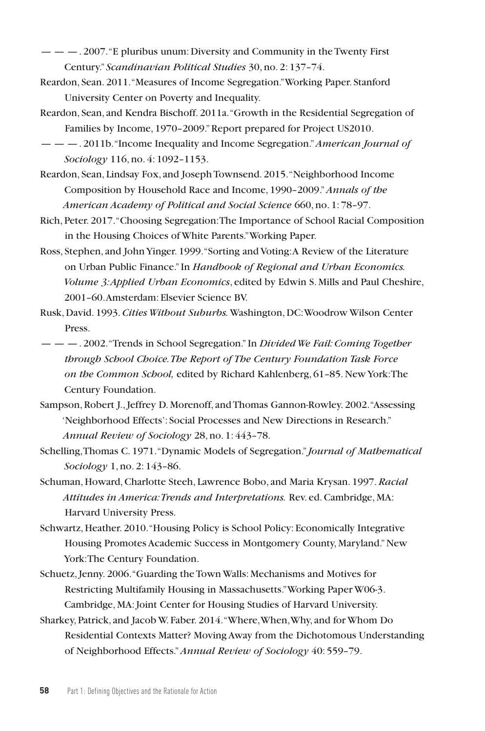- $\mu = -1.2007$ . "E pluribus unum: Diversity and Community in the Twenty First Century." *Scandinavian Political Studies* 30, no. 2: 137–74.
- Reardon, Sean. 2011. "Measures of Income Segregation." Working Paper. Stanford University Center on Poverty and Inequality.
- Reardon, Sean, and Kendra Bischoff. 2011a. "Growth in the Residential Segregation of Families by Income, 1970–2009." Report prepared for Project US2010.
- — —. 2011b. "Income Inequality and Income Segregation." *American Journal of Sociology* 116, no. 4: 1092–1153.
- Reardon, Sean, Lindsay Fox, and Joseph Townsend. 2015. "Neighborhood Income Composition by Household Race and Income, 1990–2009." *Annals of the American Academy of Political and Social Science* 660, no. 1: 78–97.
- Rich, Peter. 2017. "Choosing Segregation: The Importance of School Racial Composition in the Housing Choices of White Parents." Working Paper.
- Ross, Stephen, and John Yinger. 1999. "Sorting and Voting: A Review of the Literature on Urban Public Finance." In *Handbook of Regional and Urban Economics. Volume 3: Applied Urban Economics*, edited by Edwin S. Mills and Paul Cheshire, 2001–60. Amsterdam: Elsevier Science BV.
- Rusk, David. 1993. *Cities Without Suburbs.* Washington, DC: Woodrow Wilson Center Press.
- — —. 2002. "Trends in School Segregation." In *Divided We Fail: Coming Together through School Choice. The Report of The Century Foundation Task Force on the Common School,* edited by Richard Kahlenberg, 61–85. New York: The Century Foundation.
- Sampson, Robert J., Jeffrey D. Morenoff, and Thomas Gannon-Rowley. 2002. "Assessing 'Neighborhood Effects': Social Processes and New Directions in Research." *Annual Review of Sociology* 28, no. 1: 443–78.
- Schelling, Thomas C. 1971. "Dynamic Models of Segregation." *Journal of Mathematical Sociology* 1, no. 2: 143–86.
- Schuman, Howard, Charlotte Steeh, Lawrence Bobo, and Maria Krysan. 1997. *Racial Attitudes in America: Trends and Interpretations.* Rev. ed. Cambridge, MA: Harvard University Press.
- Schwartz, Heather. 2010. "Housing Policy is School Policy: Economically Integrative Housing Promotes Academic Success in Montgomery County, Maryland." New York: The Century Foundation.
- Schuetz, Jenny. 2006. "Guarding the Town Walls: Mechanisms and Motives for Restricting Multifamily Housing in Massachusetts." Working Paper W06-3. Cambridge, MA: Joint Center for Housing Studies of Harvard University.
- Sharkey, Patrick, and Jacob W. Faber. 2014. "Where, When, Why, and for Whom Do Residential Contexts Matter? Moving Away from the Dichotomous Understanding of Neighborhood Effects." *Annual Review of Sociology* 40: 559–79.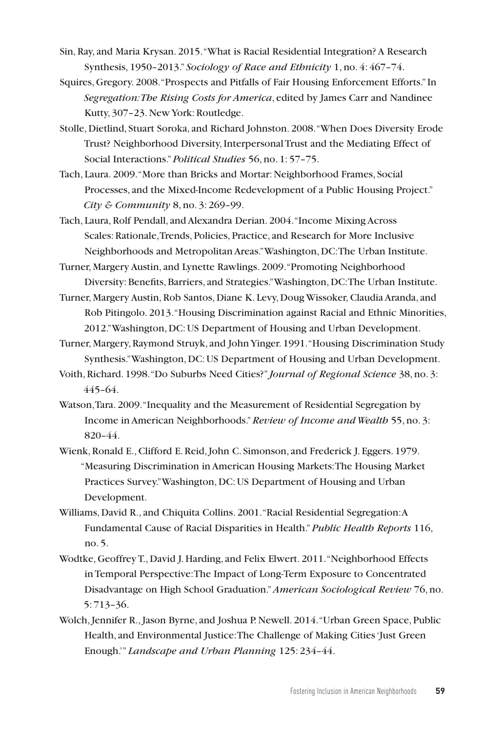- Sin, Ray, and Maria Krysan. 2015. "What is Racial Residential Integration? A Research Synthesis, 1950–2013." *Sociology of Race and Ethnicity* 1, no. 4: 467–74.
- Squires, Gregory. 2008. "Prospects and Pitfalls of Fair Housing Enforcement Efforts." In *Segregation: The Rising Costs for America*, edited by James Carr and Nandinee Kutty, 307–23. New York: Routledge.
- Stolle, Dietlind, Stuart Soroka, and Richard Johnston. 2008. "When Does Diversity Erode Trust? Neighborhood Diversity, Interpersonal Trust and the Mediating Effect of Social Interactions." *Political Studies* 56, no. 1: 57–75.
- Tach, Laura. 2009. "More than Bricks and Mortar: Neighborhood Frames, Social Processes, and the Mixed-Income Redevelopment of a Public Housing Project." *City & Community* 8, no. 3: 269–99.
- Tach, Laura, Rolf Pendall, and Alexandra Derian. 2004. "Income Mixing Across Scales: Rationale, Trends, Policies, Practice, and Research for More Inclusive Neighborhoods and Metropolitan Areas." Washington, DC: The Urban Institute.
- Turner, Margery Austin, and Lynette Rawlings. 2009. "Promoting Neighborhood Diversity: Benefits, Barriers, and Strategies." Washington, DC: The Urban Institute.
- Turner, Margery Austin, Rob Santos, Diane K. Levy, Doug Wissoker, Claudia Aranda, and Rob Pitingolo. 2013. "Housing Discrimination against Racial and Ethnic Minorities, 2012." Washington, DC: US Department of Housing and Urban Development.
- Turner, Margery, Raymond Struyk, and John Yinger. 1991. "Housing Discrimination Study Synthesis." Washington, DC: US Department of Housing and Urban Development.
- Voith, Richard. 1998. "Do Suburbs Need Cities?" *Journal of Regional Science* 38, no. 3: 445–64.
- Watson, Tara. 2009. "Inequality and the Measurement of Residential Segregation by Income in American Neighborhoods." *Review of Income and Wealth* 55, no. 3: 820–44.
- Wienk, Ronald E., Clifford E. Reid, John C. Simonson, and Frederick J. Eggers. 1979. "Measuring Discrimination in American Housing Markets: The Housing Market Practices Survey." Washington, DC: US Department of Housing and Urban Development.
- Williams, David R., and Chiquita Collins. 2001. "Racial Residential Segregation: A Fundamental Cause of Racial Disparities in Health." *Public Health Reports* 116, no. 5.
- Wodtke, Geoffrey T., David J. Harding, and Felix Elwert. 2011. "Neighborhood Effects in Temporal Perspective: The Impact of Long-Term Exposure to Concentrated Disadvantage on High School Graduation." *American Sociological Review* 76, no. 5: 713–36.
- Wolch, Jennifer R., Jason Byrne, and Joshua P. Newell. 2014. "Urban Green Space, Public Health, and Environmental Justice: The Challenge of Making Cities 'Just Green Enough.'" *Landscape and Urban Planning* 125: 234–44.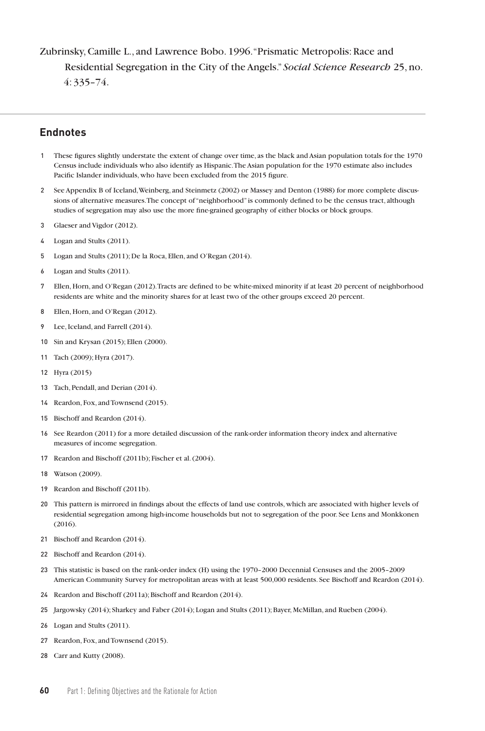# Zubrinsky, Camille L., and Lawrence Bobo. 1996. "Prismatic Metropolis: Race and Residential Segregation in the City of the Angels." *Social Science Research* 25, no. 4: 335–74.

#### **Endnotes**

- These figures slightly understate the extent of change over time, as the black and Asian population totals for the 1970 Census include individuals who also identify as Hispanic. The Asian population for the 1970 estimate also includes Pacific Islander individuals, who have been excluded from the 2015 figure.
- See Appendix B of Iceland, Weinberg, and Steinmetz (2002) or Massey and Denton (1988) for more complete discussions of alternative measures. The concept of "neighborhood" is commonly defined to be the census tract, although studies of segregation may also use the more fine-grained geography of either blocks or block groups.
- Glaeser and Vigdor (2012).
- Logan and Stults (2011).
- Logan and Stults (2011); De la Roca, Ellen, and O'Regan (2014).
- Logan and Stults (2011).
- Ellen, Horn, and O'Regan (2012). Tracts are defined to be white-mixed minority if at least 20 percent of neighborhood residents are white and the minority shares for at least two of the other groups exceed 20 percent.
- Ellen, Horn, and O'Regan (2012).
- Lee, Iceland, and Farrell (2014).
- Sin and Krysan (2015); Ellen (2000).
- Tach (2009); Hyra (2017).
- Hyra (2015)
- Tach, Pendall, and Derian (2014).
- Reardon, Fox, and Townsend (2015).
- Bischoff and Reardon (2014).
- See Reardon (2011) for a more detailed discussion of the rank-order information theory index and alternative measures of income segregation.
- Reardon and Bischoff (2011b); Fischer et al. (2004).
- Watson (2009).
- Reardon and Bischoff (2011b).
- This pattern is mirrored in findings about the effects of land use controls, which are associated with higher levels of residential segregation among high-income households but not to segregation of the poor. See Lens and Monkkonen (2016).
- Bischoff and Reardon (2014).
- Bischoff and Reardon (2014).
- This statistic is based on the rank-order index (H) using the 1970–2000 Decennial Censuses and the 2005–2009 American Community Survey for metropolitan areas with at least 500,000 residents. See Bischoff and Reardon (2014).
- Reardon and Bischoff (2011a); Bischoff and Reardon (2014).
- Jargowsky (2014); Sharkey and Faber (2014); Logan and Stults (2011); Bayer, McMillan, and Rueben (2004).
- Logan and Stults (2011).
- Reardon, Fox, and Townsend (2015).
- Carr and Kutty (2008).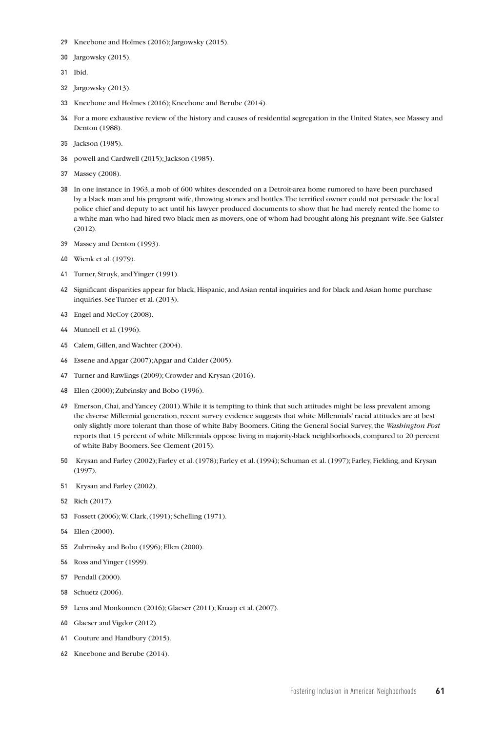- Kneebone and Holmes (2016); Jargowsky (2015).
- Jargowsky (2015).

Ibid.

- Jargowsky (2013).
- Kneebone and Holmes (2016); Kneebone and Berube (2014).
- For a more exhaustive review of the history and causes of residential segregation in the United States, see Massey and Denton (1988).
- Jackson (1985).
- powell and Cardwell (2015); Jackson (1985).
- Massey (2008).
- In one instance in 1963, a mob of 600 whites descended on a Detroit-area home rumored to have been purchased by a black man and his pregnant wife, throwing stones and bottles. The terrified owner could not persuade the local police chief and deputy to act until his lawyer produced documents to show that he had merely rented the home to a white man who had hired two black men as movers, one of whom had brought along his pregnant wife. See Galster (2012).
- Massey and Denton (1993).
- Wienk et al. (1979).
- Turner, Struyk, and Yinger (1991).
- Significant disparities appear for black, Hispanic, and Asian rental inquiries and for black and Asian home purchase inquiries. See Turner et al. (2013).
- Engel and McCoy (2008).
- Munnell et al. (1996).
- Calem, Gillen, and Wachter (2004).
- Essene and Apgar (2007); Apgar and Calder (2005).
- Turner and Rawlings (2009); Crowder and Krysan (2016).
- Ellen (2000); Zubrinsky and Bobo (1996).
- Emerson, Chai, and Yancey (2001). While it is tempting to think that such attitudes might be less prevalent among the diverse Millennial generation, recent survey evidence suggests that white Millennials' racial attitudes are at best only slightly more tolerant than those of white Baby Boomers. Citing the General Social Survey, the *Washington Post*  reports that 15 percent of white Millennials oppose living in majority-black neighborhoods, compared to 20 percent of white Baby Boomers. See Clement (2015).
- Krysan and Farley (2002); Farley et al. (1978); Farley et al. (1994); Schuman et al. (1997); Farley, Fielding, and Krysan (1997).
- Krysan and Farley (2002).
- Rich (2017).
- Fossett (2006); W. Clark, (1991); Schelling (1971).
- Ellen (2000).
- Zubrinsky and Bobo (1996); Ellen (2000).
- Ross and Yinger (1999).
- Pendall (2000).
- Schuetz (2006).
- Lens and Monkonnen (2016); Glaeser (2011); Knaap et al. (2007).
- Glaeser and Vigdor (2012).
- Couture and Handbury (2015).
- Kneebone and Berube (2014).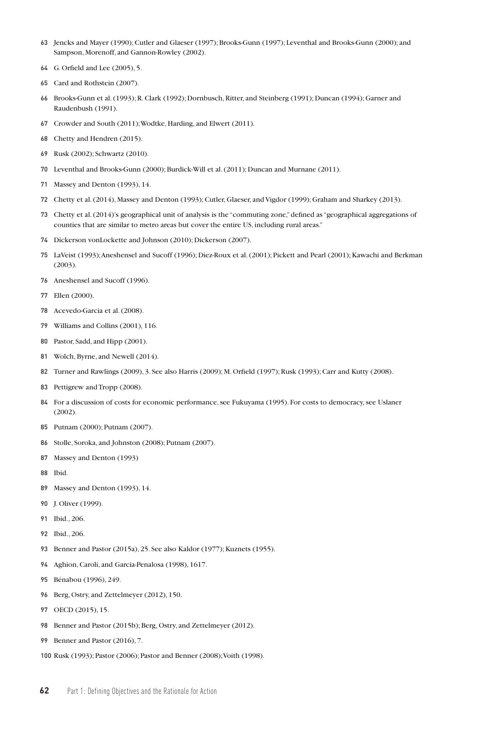- Jencks and Mayer (1990); Cutler and Glaeser (1997); Brooks-Gunn (1997); Leventhal and Brooks-Gunn (2000); and Sampson, Morenoff, and Gannon-Rowley (2002).
- G. Orfield and Lee (2005), 5.
- Card and Rothstein (2007).
- Brooks-Gunn et al. (1993); R. Clark (1992); Dornbusch, Ritter, and Steinberg (1991); Duncan (1994); Garner and Raudenbush (1991).
- Crowder and South (2011); Wodtke, Harding, and Elwert (2011).
- Chetty and Hendren (2015).
- Rusk (2002); Schwartz (2010).
- Leventhal and Brooks-Gunn (2000); Burdick-Will et al. (2011); Duncan and Murnane (2011).
- Massey and Denton (1993), 14.
- Chetty et al. (2014), Massey and Denton (1993); Cutler, Glaeser, and Vigdor (1999); Graham and Sharkey (2013).
- Chetty et al. (2014)'s geographical unit of analysis is the "commuting zone," defined as "geographical aggregations of counties that are similar to metro areas but cover the entire US, including rural areas."
- Dickerson vonLockette and Johnson (2010); Dickerson (2007).
- LaVeist (1993); Aneshensel and Sucoff (1996); Diez-Roux et al. (2001); Pickett and Pearl (2001); Kawachi and Berkman (2003).
- Aneshensel and Sucoff (1996).
- Ellen (2000).
- Acevedo-Garcia et al. (2008).
- Williams and Collins (2001), 116.
- Pastor, Sadd, and Hipp (2001).
- Wolch, Byrne, and Newell (2014).
- Turner and Rawlings (2009), 3. See also Harris (2009); M. Orfield (1997); Rusk (1993); Carr and Kutty (2008).
- Pettigrew and Tropp (2008).
- For a discussion of costs for economic performance, see Fukuyama (1995). For costs to democracy, see Uslaner (2002).
- Putnam (2000); Putnam (2007).
- Stolle, Soroka, and Johnston (2008); Putnam (2007).
- Massey and Denton (1993)
- Ibid.
- Massey and Denton (1993), 14.
- J. Oliver (1999).
- Ibid., 206.
- Ibid., 206.
- Benner and Pastor (2015a), 25. See also Kaldor (1977); Kuznets (1955).
- Aghion, Caroli, and Garcia-Penalosa (1998), 1617.
- Bénabou (1996), 249.
- Berg, Ostry, and Zettelmeyer (2012), 150.
- OECD (2015), 15.
- Benner and Pastor (2015b); Berg, Ostry, and Zettelmeyer (2012).
- Benner and Pastor (2016), 7.

Rusk (1993); Pastor (2006); Pastor and Benner (2008); Voith (1998).